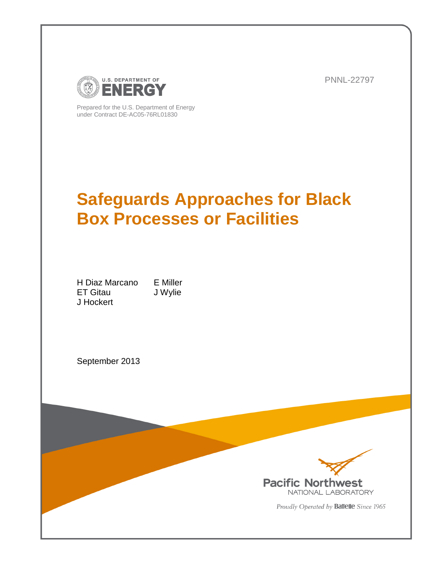

PNNL-22797

Prepared for the U.S. Department of Energy under Contract DE-AC05-76RL01830

# **Safeguards Approaches for Black Box Processes or Facilities**

H Diaz Marcano E Miller ET Gitau J Wylie J Hockert

September 2013



Proudly Operated by Battelle Since 1965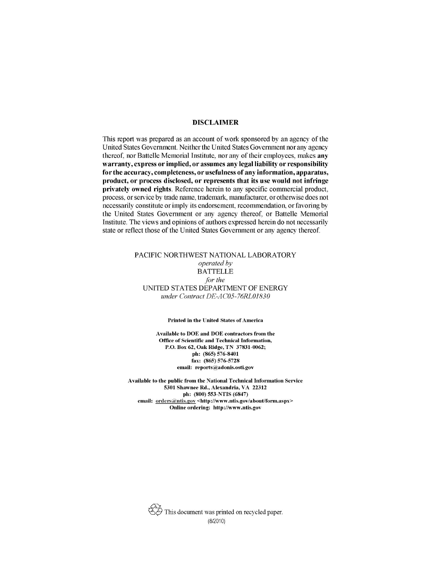#### **DISCLAIMER**

This report was prepared as an account of work sponsored by an agency of the United States Government. Neither the United States Government nor any agency thereof, nor Battelle Memorial Institute, nor any of their employees, makes any warranty, express or implied, or assumes any legal liability or responsibility for the accuracy, completeness, or usefulness of any information, apparatus, product, or process disclosed, or represents that its use would not infringe privately owned rights. Reference herein to any specific commercial product, process, or service by trade name, trademark, manufacturer, or otherwise does not necessarily constitute or imply its endorsement, recommendation, or favoring by the United States Government or any agency thereof, or Battelle Memorial Institute. The views and opinions of authors expressed herein do not necessarily state or reflect those of the United States Government or any agency thereof.

#### PACIFIC NORTHWEST NATIONAL LABORATORY operated by **BATTELLE** for the UNITED STATES DEPARTMENT OF ENERGY under Contract DE-AC05-76RL01830

#### **Printed in the United States of America**

Available to DOE and DOE contractors from the Office of Scientific and Technical Information, P.O. Box 62, Oak Ridge, TN 37831-0062; ph: (865) 576-8401 fax: (865) 576-5728 email: reports@adonis.osti.gov

Available to the public from the National Technical Information Service 5301 Shawnee Rd., Alexandria, VA 22312 ph: (800) 553-NTIS (6847) email: orders@ntis.gov <http://www.ntis.gov/about/form.aspx> Online ordering: http://www.ntis.gov

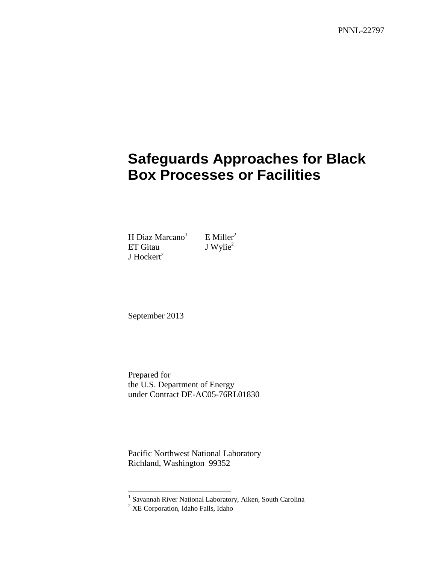PNNL-22797

# **Safeguards Approaches for Black Box Processes or Facilities**

<span id="page-2-0"></span>H Diaz Ma[r](#page-2-0)cano<sup>1</sup> E Miller<sup>2</sup><br>ET Gitau J Wylie<sup>2</sup> ET Gitau J Hockert $2$ 

September 2013

Prepared for the U.S. Department of Energy under Contract DE-AC05-76RL01830

Pacific Northwest National Laboratory Richland, Washington 99352

 1 Savannah River National Laboratory, Aiken, South Carolina

 $2$  XE Corporation, Idaho Falls, Idaho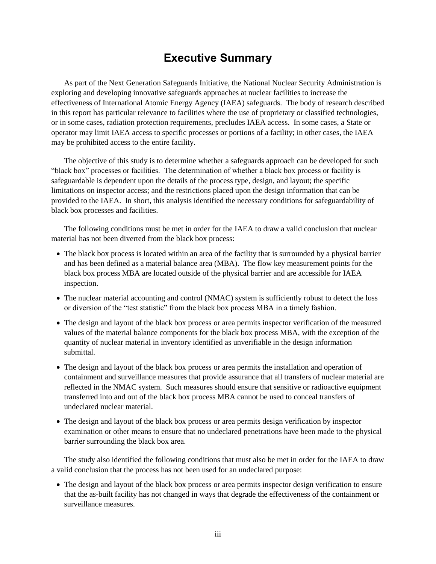## **Executive Summary**

<span id="page-3-0"></span>As part of the Next Generation Safeguards Initiative, the National Nuclear Security Administration is exploring and developing innovative safeguards approaches at nuclear facilities to increase the effectiveness of International Atomic Energy Agency (IAEA) safeguards. The body of research described in this report has particular relevance to facilities where the use of proprietary or classified technologies, or in some cases, radiation protection requirements, precludes IAEA access. In some cases, a State or operator may limit IAEA access to specific processes or portions of a facility; in other cases, the IAEA may be prohibited access to the entire facility.

The objective of this study is to determine whether a safeguards approach can be developed for such "black box" processes or facilities. The determination of whether a black box process or facility is safeguardable is dependent upon the details of the process type, design, and layout; the specific limitations on inspector access; and the restrictions placed upon the design information that can be provided to the IAEA. In short, this analysis identified the necessary conditions for safeguardability of black box processes and facilities.

The following conditions must be met in order for the IAEA to draw a valid conclusion that nuclear material has not been diverted from the black box process:

- The black box process is located within an area of the facility that is surrounded by a physical barrier and has been defined as a material balance area (MBA). The flow key measurement points for the black box process MBA are located outside of the physical barrier and are accessible for IAEA inspection.
- The nuclear material accounting and control (NMAC) system is sufficiently robust to detect the loss or diversion of the "test statistic" from the black box process MBA in a timely fashion.
- The design and layout of the black box process or area permits inspector verification of the measured values of the material balance components for the black box process MBA, with the exception of the quantity of nuclear material in inventory identified as unverifiable in the design information submittal.
- The design and layout of the black box process or area permits the installation and operation of containment and surveillance measures that provide assurance that all transfers of nuclear material are reflected in the NMAC system. Such measures should ensure that sensitive or radioactive equipment transferred into and out of the black box process MBA cannot be used to conceal transfers of undeclared nuclear material.
- The design and layout of the black box process or area permits design verification by inspector examination or other means to ensure that no undeclared penetrations have been made to the physical barrier surrounding the black box area.

The study also identified the following conditions that must also be met in order for the IAEA to draw a valid conclusion that the process has not been used for an undeclared purpose:

• The design and layout of the black box process or area permits inspector design verification to ensure that the as-built facility has not changed in ways that degrade the effectiveness of the containment or surveillance measures.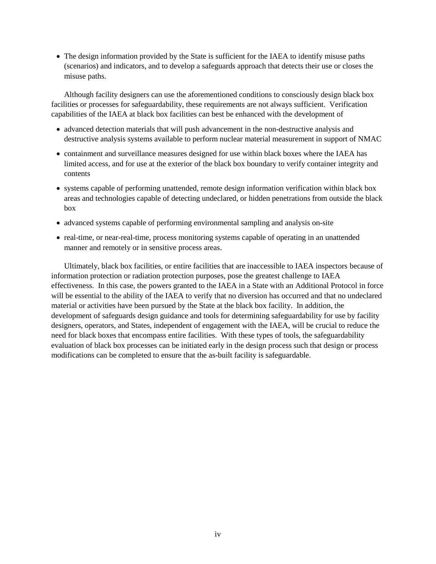• The design information provided by the State is sufficient for the IAEA to identify misuse paths (scenarios) and indicators, and to develop a safeguards approach that detects their use or closes the misuse paths.

Although facility designers can use the aforementioned conditions to consciously design black box facilities or processes for safeguardability, these requirements are not always sufficient. Verification capabilities of the IAEA at black box facilities can best be enhanced with the development of

- advanced detection materials that will push advancement in the non-destructive analysis and destructive analysis systems available to perform nuclear material measurement in support of NMAC
- containment and surveillance measures designed for use within black boxes where the IAEA has limited access, and for use at the exterior of the black box boundary to verify container integrity and contents
- systems capable of performing unattended, remote design information verification within black box areas and technologies capable of detecting undeclared, or hidden penetrations from outside the black box
- advanced systems capable of performing environmental sampling and analysis on-site
- real-time, or near-real-time, process monitoring systems capable of operating in an unattended manner and remotely or in sensitive process areas.

Ultimately, black box facilities, or entire facilities that are inaccessible to IAEA inspectors because of information protection or radiation protection purposes, pose the greatest challenge to IAEA effectiveness. In this case, the powers granted to the IAEA in a State with an Additional Protocol in force will be essential to the ability of the IAEA to verify that no diversion has occurred and that no undeclared material or activities have been pursued by the State at the black box facility. In addition, the development of safeguards design guidance and tools for determining safeguardability for use by facility designers, operators, and States, independent of engagement with the IAEA, will be crucial to reduce the need for black boxes that encompass entire facilities. With these types of tools, the safeguardability evaluation of black box processes can be initiated early in the design process such that design or process modifications can be completed to ensure that the as-built facility is safeguardable.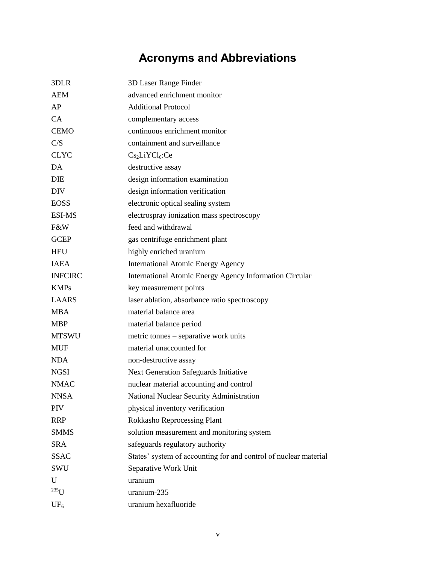# **Acronyms and Abbreviations**

<span id="page-5-0"></span>

| 3DLR           | 3D Laser Range Finder                                            |
|----------------|------------------------------------------------------------------|
| <b>AEM</b>     | advanced enrichment monitor                                      |
| AP             | <b>Additional Protocol</b>                                       |
| CA             | complementary access                                             |
| <b>CEMO</b>    | continuous enrichment monitor                                    |
| C/S            | containment and surveillance                                     |
| <b>CLYC</b>    | Cs <sub>2</sub> LiYCl <sub>6</sub> :Ce                           |
| DA             | destructive assay                                                |
| DIE            | design information examination                                   |
| <b>DIV</b>     | design information verification                                  |
| <b>EOSS</b>    | electronic optical sealing system                                |
| <b>ESI-MS</b>  | electrospray ionization mass spectroscopy                        |
| F&W            | feed and withdrawal                                              |
| <b>GCEP</b>    | gas centrifuge enrichment plant                                  |
| <b>HEU</b>     | highly enriched uranium                                          |
| <b>IAEA</b>    | <b>International Atomic Energy Agency</b>                        |
| <b>INFCIRC</b> | International Atomic Energy Agency Information Circular          |
| <b>KMPs</b>    | key measurement points                                           |
| <b>LAARS</b>   | laser ablation, absorbance ratio spectroscopy                    |
| <b>MBA</b>     | material balance area                                            |
| <b>MBP</b>     | material balance period                                          |
| <b>MTSWU</b>   | metric tonnes – separative work units                            |
| <b>MUF</b>     | material unaccounted for                                         |
| <b>NDA</b>     | non-destructive assay                                            |
| <b>NGSI</b>    | Next Generation Safeguards Initiative                            |
| <b>NMAC</b>    | nuclear material accounting and control                          |
| <b>NNSA</b>    | National Nuclear Security Administration                         |
| PIV            | physical inventory verification                                  |
| <b>RRP</b>     | <b>Rokkasho Reprocessing Plant</b>                               |
| <b>SMMS</b>    | solution measurement and monitoring system                       |
| <b>SRA</b>     | safeguards regulatory authority                                  |
| <b>SSAC</b>    | States' system of accounting for and control of nuclear material |
| SWU            | Separative Work Unit                                             |
| U              | uranium                                                          |
| $^{235}$ U     | uranium-235                                                      |
| $UF_6$         | uranium hexafluoride                                             |
|                |                                                                  |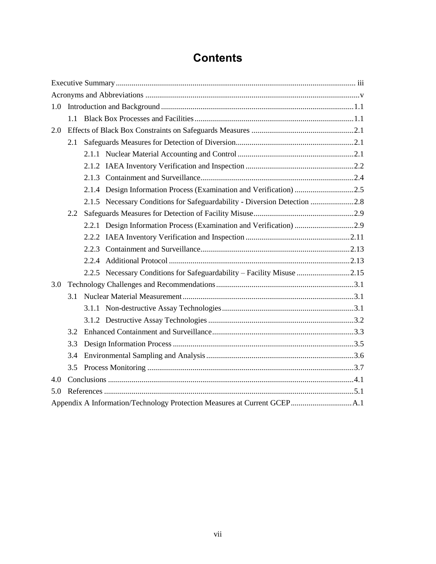## **Contents**

| 1.0 |     |  |                                                                        |  |  |
|-----|-----|--|------------------------------------------------------------------------|--|--|
|     |     |  |                                                                        |  |  |
| 2.0 |     |  |                                                                        |  |  |
|     | 2.1 |  |                                                                        |  |  |
|     |     |  |                                                                        |  |  |
|     |     |  |                                                                        |  |  |
|     |     |  |                                                                        |  |  |
|     |     |  | 2.1.4 Design Information Process (Examination and Verification) 2.5    |  |  |
|     |     |  |                                                                        |  |  |
| 2.2 |     |  |                                                                        |  |  |
|     |     |  | 2.2.1 Design Information Process (Examination and Verification) 2.9    |  |  |
|     |     |  |                                                                        |  |  |
|     |     |  |                                                                        |  |  |
|     |     |  |                                                                        |  |  |
|     |     |  | 2.2.5 Necessary Conditions for Safeguardability - Facility Misuse 2.15 |  |  |
| 3.0 |     |  |                                                                        |  |  |
|     | 3.1 |  |                                                                        |  |  |
|     |     |  |                                                                        |  |  |
|     |     |  |                                                                        |  |  |
|     | 3.2 |  |                                                                        |  |  |
|     | 3.3 |  |                                                                        |  |  |
|     | 3.4 |  |                                                                        |  |  |
|     | 3.5 |  |                                                                        |  |  |
| 4.0 |     |  |                                                                        |  |  |
| 5.0 |     |  |                                                                        |  |  |
|     |     |  |                                                                        |  |  |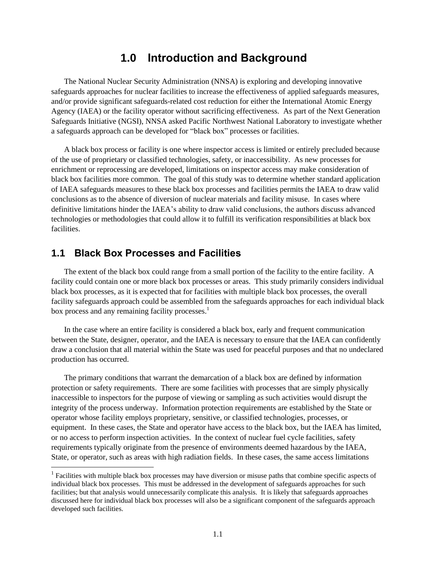### **1.0 Introduction and Background**

<span id="page-7-0"></span>The National Nuclear Security Administration (NNSA) is exploring and developing innovative safeguards approaches for nuclear facilities to increase the effectiveness of applied safeguards measures, and/or provide significant safeguards-related cost reduction for either the International Atomic Energy Agency (IAEA) or the facility operator without sacrificing effectiveness. As part of the Next Generation Safeguards Initiative (NGSI), NNSA asked Pacific Northwest National Laboratory to investigate whether a safeguards approach can be developed for "black box" processes or facilities.

A black box process or facility is one where inspector access is limited or entirely precluded because of the use of proprietary or classified technologies, safety, or inaccessibility. As new processes for enrichment or reprocessing are developed, limitations on inspector access may make consideration of black box facilities more common. The goal of this study was to determine whether standard application of IAEA safeguards measures to these black box processes and facilities permits the IAEA to draw valid conclusions as to the absence of diversion of nuclear materials and facility misuse. In cases where definitive limitations hinder the IAEA's ability to draw valid conclusions, the authors discuss advanced technologies or methodologies that could allow it to fulfill its verification responsibilities at black box facilities.

#### <span id="page-7-1"></span>**1.1 Black Box Processes and Facilities**

l

The extent of the black box could range from a small portion of the facility to the entire facility. A facility could contain one or more black box processes or areas. This study primarily considers individual black box processes, as it is expected that for facilities with multiple black box processes, the overall facility safeguards approach could be assembled from the safeguards approaches for each individual black box process and any remaining facility processes.<sup>1</sup>

In the case where an entire facility is considered a black box, early and frequent communication between the State, designer, operator, and the IAEA is necessary to ensure that the IAEA can confidently draw a conclusion that all material within the State was used for peaceful purposes and that no undeclared production has occurred.

The primary conditions that warrant the demarcation of a black box are defined by information protection or safety requirements. There are some facilities with processes that are simply physically inaccessible to inspectors for the purpose of viewing or sampling as such activities would disrupt the integrity of the process underway. Information protection requirements are established by the State or operator whose facility employs proprietary, sensitive, or classified technologies, processes, or equipment. In these cases, the State and operator have access to the black box, but the IAEA has limited, or no access to perform inspection activities. In the context of nuclear fuel cycle facilities, safety requirements typically originate from the presence of environments deemed hazardous by the IAEA, State, or operator, such as areas with high radiation fields. In these cases, the same access limitations

<sup>&</sup>lt;sup>1</sup> Facilities with multiple black box processes may have diversion or misuse paths that combine specific aspects of individual black box processes. This must be addressed in the development of safeguards approaches for such facilities; but that analysis would unnecessarily complicate this analysis. It is likely that safeguards approaches discussed here for individual black box processes will also be a significant component of the safeguards approach developed such facilities.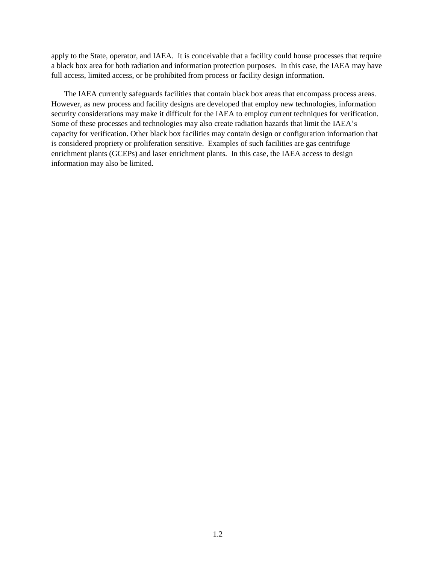apply to the State, operator, and IAEA. It is conceivable that a facility could house processes that require a black box area for both radiation and information protection purposes. In this case, the IAEA may have full access, limited access, or be prohibited from process or facility design information.

The IAEA currently safeguards facilities that contain black box areas that encompass process areas. However, as new process and facility designs are developed that employ new technologies, information security considerations may make it difficult for the IAEA to employ current techniques for verification. Some of these processes and technologies may also create radiation hazards that limit the IAEA's capacity for verification. Other black box facilities may contain design or configuration information that is considered propriety or proliferation sensitive. Examples of such facilities are gas centrifuge enrichment plants (GCEPs) and laser enrichment plants. In this case, the IAEA access to design information may also be limited.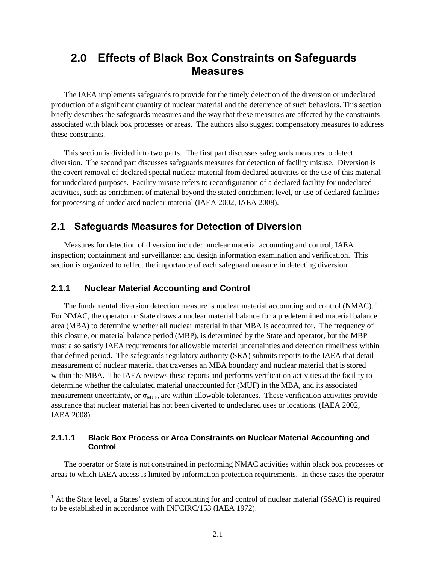## <span id="page-9-0"></span>**2.0 Effects of Black Box Constraints on Safeguards Measures**

The IAEA implements safeguards to provide for the timely detection of the diversion or undeclared production of a significant quantity of nuclear material and the deterrence of such behaviors. This section briefly describes the safeguards measures and the way that these measures are affected by the constraints associated with black box processes or areas. The authors also suggest compensatory measures to address these constraints.

This section is divided into two parts. The first part discusses safeguards measures to detect diversion. The second part discusses safeguards measures for detection of facility misuse. Diversion is the covert removal of declared special nuclear material from declared activities or the use of this material for undeclared purposes. Facility misuse refers to reconfiguration of a declared facility for undeclared activities, such as enrichment of material beyond the stated enrichment level, or use of declared facilities for processing of undeclared nuclear material (IAEA 2002, IAEA 2008).

### <span id="page-9-1"></span>**2.1 Safeguards Measures for Detection of Diversion**

Measures for detection of diversion include: nuclear material accounting and control; IAEA inspection; containment and surveillance; and design information examination and verification. This section is organized to reflect the importance of each safeguard measure in detecting diversion.

#### <span id="page-9-2"></span>**2.1.1 Nuclear Material Accounting and Control**

l

The fundamental diversion detection measure is nuclear material accounting and control (NMAC).<sup>1</sup> For NMAC, the operator or State draws a nuclear material balance for a predetermined material balance area (MBA) to determine whether all nuclear material in that MBA is accounted for. The frequency of this closure, or material balance period (MBP), is determined by the State and operator, but the MBP must also satisfy IAEA requirements for allowable material uncertainties and detection timeliness within that defined period. The safeguards regulatory authority (SRA) submits reports to the IAEA that detail measurement of nuclear material that traverses an MBA boundary and nuclear material that is stored within the MBA. The IAEA reviews these reports and performs verification activities at the facility to determine whether the calculated material unaccounted for (MUF) in the MBA, and its associated measurement uncertainty, or  $\sigma_{MUF}$ , are within allowable tolerances. These verification activities provide assurance that nuclear material has not been diverted to undeclared uses or locations. (IAEA 2002, IAEA 2008)

#### **2.1.1.1 Black Box Process or Area Constraints on Nuclear Material Accounting and Control**

The operator or State is not constrained in performing NMAC activities within black box processes or areas to which IAEA access is limited by information protection requirements. In these cases the operator

<sup>&</sup>lt;sup>1</sup> At the State level, a States' system of accounting for and control of nuclear material (SSAC) is required to be established in accordance with INFCIRC/153 (IAEA 1972).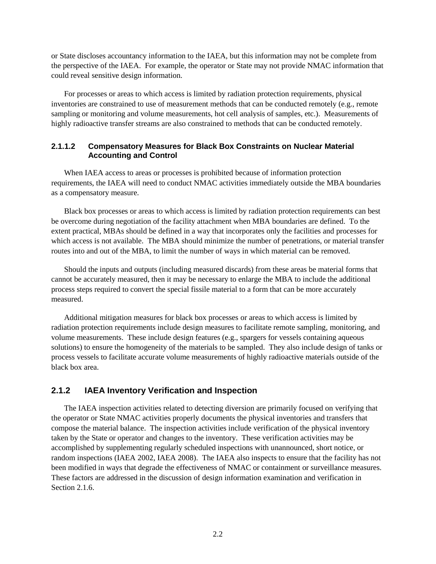or State discloses accountancy information to the IAEA, but this information may not be complete from the perspective of the IAEA. For example, the operator or State may not provide NMAC information that could reveal sensitive design information.

For processes or areas to which access is limited by radiation protection requirements, physical inventories are constrained to use of measurement methods that can be conducted remotely (e.g., remote sampling or monitoring and volume measurements, hot cell analysis of samples, etc.). Measurements of highly radioactive transfer streams are also constrained to methods that can be conducted remotely.

#### **2.1.1.2 Compensatory Measures for Black Box Constraints on Nuclear Material Accounting and Control**

When IAEA access to areas or processes is prohibited because of information protection requirements, the IAEA will need to conduct NMAC activities immediately outside the MBA boundaries as a compensatory measure.

Black box processes or areas to which access is limited by radiation protection requirements can best be overcome during negotiation of the facility attachment when MBA boundaries are defined. To the extent practical, MBAs should be defined in a way that incorporates only the facilities and processes for which access is not available. The MBA should minimize the number of penetrations, or material transfer routes into and out of the MBA, to limit the number of ways in which material can be removed.

Should the inputs and outputs (including measured discards) from these areas be material forms that cannot be accurately measured, then it may be necessary to enlarge the MBA to include the additional process steps required to convert the special fissile material to a form that can be more accurately measured.

Additional mitigation measures for black box processes or areas to which access is limited by radiation protection requirements include design measures to facilitate remote sampling, monitoring, and volume measurements. These include design features (e.g., spargers for vessels containing aqueous solutions) to ensure the homogeneity of the materials to be sampled. They also include design of tanks or process vessels to facilitate accurate volume measurements of highly radioactive materials outside of the black box area.

#### <span id="page-10-0"></span>**2.1.2 IAEA Inventory Verification and Inspection**

The IAEA inspection activities related to detecting diversion are primarily focused on verifying that the operator or State NMAC activities properly documents the physical inventories and transfers that compose the material balance. The inspection activities include verification of the physical inventory taken by the State or operator and changes to the inventory. These verification activities may be accomplished by supplementing regularly scheduled inspections with unannounced, short notice, or random inspections (IAEA 2002, IAEA 2008). The IAEA also inspects to ensure that the facility has not been modified in ways that degrade the effectiveness of NMAC or containment or surveillance measures. These factors are addressed in the discussion of design information examination and verification in Section 2.1.6.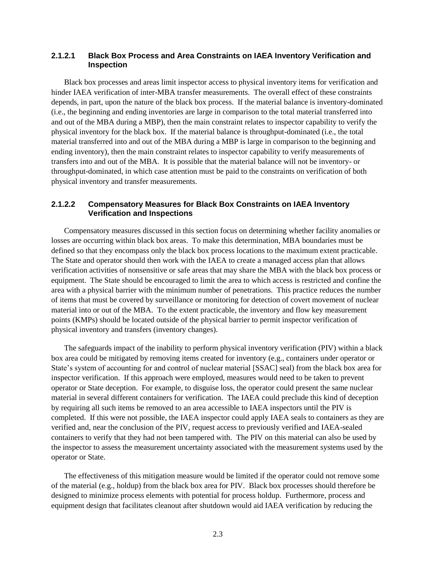#### **2.1.2.1 Black Box Process and Area Constraints on IAEA Inventory Verification and Inspection**

Black box processes and areas limit inspector access to physical inventory items for verification and hinder IAEA verification of inter-MBA transfer measurements. The overall effect of these constraints depends, in part, upon the nature of the black box process. If the material balance is inventory-dominated (i.e., the beginning and ending inventories are large in comparison to the total material transferred into and out of the MBA during a MBP), then the main constraint relates to inspector capability to verify the physical inventory for the black box. If the material balance is throughput-dominated (i.e., the total material transferred into and out of the MBA during a MBP is large in comparison to the beginning and ending inventory), then the main constraint relates to inspector capability to verify measurements of transfers into and out of the MBA. It is possible that the material balance will not be inventory- or throughput-dominated, in which case attention must be paid to the constraints on verification of both physical inventory and transfer measurements.

#### **2.1.2.2 Compensatory Measures for Black Box Constraints on IAEA Inventory Verification and Inspections**

Compensatory measures discussed in this section focus on determining whether facility anomalies or losses are occurring within black box areas. To make this determination, MBA boundaries must be defined so that they encompass only the black box process locations to the maximum extent practicable. The State and operator should then work with the IAEA to create a managed access plan that allows verification activities of nonsensitive or safe areas that may share the MBA with the black box process or equipment. The State should be encouraged to limit the area to which access is restricted and confine the area with a physical barrier with the minimum number of penetrations. This practice reduces the number of items that must be covered by surveillance or monitoring for detection of covert movement of nuclear material into or out of the MBA. To the extent practicable, the inventory and flow key measurement points (KMPs) should be located outside of the physical barrier to permit inspector verification of physical inventory and transfers (inventory changes).

The safeguards impact of the inability to perform physical inventory verification (PIV) within a black box area could be mitigated by removing items created for inventory (e.g., containers under operator or State's system of accounting for and control of nuclear material [SSAC] seal) from the black box area for inspector verification. If this approach were employed, measures would need to be taken to prevent operator or State deception. For example, to disguise loss, the operator could present the same nuclear material in several different containers for verification. The IAEA could preclude this kind of deception by requiring all such items be removed to an area accessible to IAEA inspectors until the PIV is completed. If this were not possible, the IAEA inspector could apply IAEA seals to containers as they are verified and, near the conclusion of the PIV, request access to previously verified and IAEA-sealed containers to verify that they had not been tampered with. The PIV on this material can also be used by the inspector to assess the measurement uncertainty associated with the measurement systems used by the operator or State.

The effectiveness of this mitigation measure would be limited if the operator could not remove some of the material (e.g., holdup) from the black box area for PIV. Black box processes should therefore be designed to minimize process elements with potential for process holdup. Furthermore, process and equipment design that facilitates cleanout after shutdown would aid IAEA verification by reducing the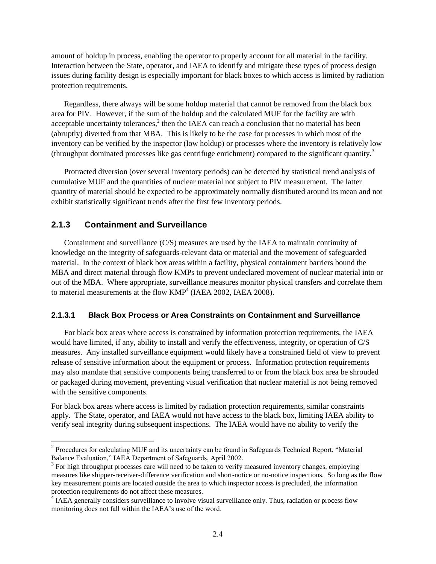amount of holdup in process, enabling the operator to properly account for all material in the facility. Interaction between the State, operator, and IAEA to identify and mitigate these types of process design issues during facility design is especially important for black boxes to which access is limited by radiation protection requirements.

Regardless, there always will be some holdup material that cannot be removed from the black box area for PIV. However, if the sum of the holdup and the calculated MUF for the facility are with acceptable uncertainty tolerances, $2$  then the IAEA can reach a conclusion that no material has been (abruptly) diverted from that MBA. This is likely to be the case for processes in which most of the inventory can be verified by the inspector (low holdup) or processes where the inventory is relatively low (throughput dominated processes like gas centrifuge enrichment) compared to the significant quantity.<sup>3</sup>

Protracted diversion (over several inventory periods) can be detected by statistical trend analysis of cumulative MUF and the quantities of nuclear material not subject to PIV measurement. The latter quantity of material should be expected to be approximately normally distributed around its mean and not exhibit statistically significant trends after the first few inventory periods.

#### <span id="page-12-0"></span>**2.1.3 Containment and Surveillance**

 $\overline{a}$ 

Containment and surveillance (C/S) measures are used by the IAEA to maintain continuity of knowledge on the integrity of safeguards-relevant data or material and the movement of safeguarded material. In the context of black box areas within a facility, physical containment barriers bound the MBA and direct material through flow KMPs to prevent undeclared movement of nuclear material into or out of the MBA. Where appropriate, surveillance measures monitor physical transfers and correlate them to material measurements at the flow  $KMP<sup>4</sup>$  (IAEA 2002, IAEA 2008).

#### **2.1.3.1 Black Box Process or Area Constraints on Containment and Surveillance**

For black box areas where access is constrained by information protection requirements, the IAEA would have limited, if any, ability to install and verify the effectiveness, integrity, or operation of C/S measures. Any installed surveillance equipment would likely have a constrained field of view to prevent release of sensitive information about the equipment or process. Information protection requirements may also mandate that sensitive components being transferred to or from the black box area be shrouded or packaged during movement, preventing visual verification that nuclear material is not being removed with the sensitive components.

For black box areas where access is limited by radiation protection requirements, similar constraints apply. The State, operator, and IAEA would not have access to the black box, limiting IAEA ability to verify seal integrity during subsequent inspections. The IAEA would have no ability to verify the

<sup>&</sup>lt;sup>2</sup> Procedures for calculating MUF and its uncertainty can be found in Safeguards Technical Report, "Material Balance Evaluation," IAEA Department of Safeguards, April 2002.

 $3$  For high throughput processes care will need to be taken to verify measured inventory changes, employing measures like shipper-receiver-difference verification and short-notice or no-notice inspections. So long as the flow key measurement points are located outside the area to which inspector access is precluded, the information protection requirements do not affect these measures.

<sup>&</sup>lt;sup>4</sup> IAEA generally considers surveillance to involve visual surveillance only. Thus, radiation or process flow monitoring does not fall within the IAEA's use of the word.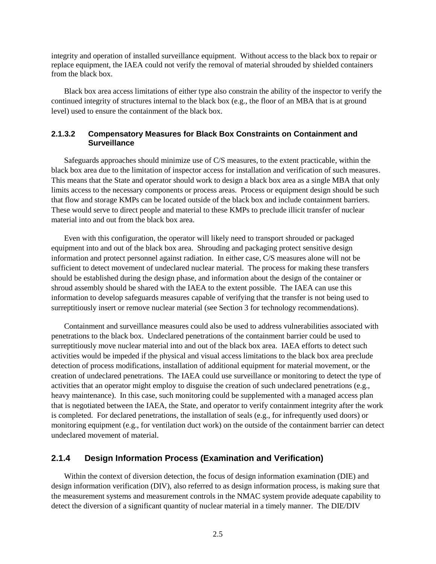integrity and operation of installed surveillance equipment. Without access to the black box to repair or replace equipment, the IAEA could not verify the removal of material shrouded by shielded containers from the black box.

Black box area access limitations of either type also constrain the ability of the inspector to verify the continued integrity of structures internal to the black box (e.g., the floor of an MBA that is at ground level) used to ensure the containment of the black box.

#### **2.1.3.2 Compensatory Measures for Black Box Constraints on Containment and Surveillance**

Safeguards approaches should minimize use of C/S measures, to the extent practicable, within the black box area due to the limitation of inspector access for installation and verification of such measures. This means that the State and operator should work to design a black box area as a single MBA that only limits access to the necessary components or process areas. Process or equipment design should be such that flow and storage KMPs can be located outside of the black box and include containment barriers. These would serve to direct people and material to these KMPs to preclude illicit transfer of nuclear material into and out from the black box area.

Even with this configuration, the operator will likely need to transport shrouded or packaged equipment into and out of the black box area. Shrouding and packaging protect sensitive design information and protect personnel against radiation. In either case, C/S measures alone will not be sufficient to detect movement of undeclared nuclear material. The process for making these transfers should be established during the design phase, and information about the design of the container or shroud assembly should be shared with the IAEA to the extent possible. The IAEA can use this information to develop safeguards measures capable of verifying that the transfer is not being used to surreptitiously insert or remove nuclear material (see Section 3 for technology recommendations).

Containment and surveillance measures could also be used to address vulnerabilities associated with penetrations to the black box. Undeclared penetrations of the containment barrier could be used to surreptitiously move nuclear material into and out of the black box area. IAEA efforts to detect such activities would be impeded if the physical and visual access limitations to the black box area preclude detection of process modifications, installation of additional equipment for material movement, or the creation of undeclared penetrations. The IAEA could use surveillance or monitoring to detect the type of activities that an operator might employ to disguise the creation of such undeclared penetrations (e.g., heavy maintenance). In this case, such monitoring could be supplemented with a managed access plan that is negotiated between the IAEA, the State, and operator to verify containment integrity after the work is completed. For declared penetrations, the installation of seals (e.g., for infrequently used doors) or monitoring equipment (e.g., for ventilation duct work) on the outside of the containment barrier can detect undeclared movement of material.

#### <span id="page-13-0"></span>**2.1.4 Design Information Process (Examination and Verification)**

Within the context of diversion detection, the focus of design information examination (DIE) and design information verification (DIV), also referred to as design information process, is making sure that the measurement systems and measurement controls in the NMAC system provide adequate capability to detect the diversion of a significant quantity of nuclear material in a timely manner. The DIE/DIV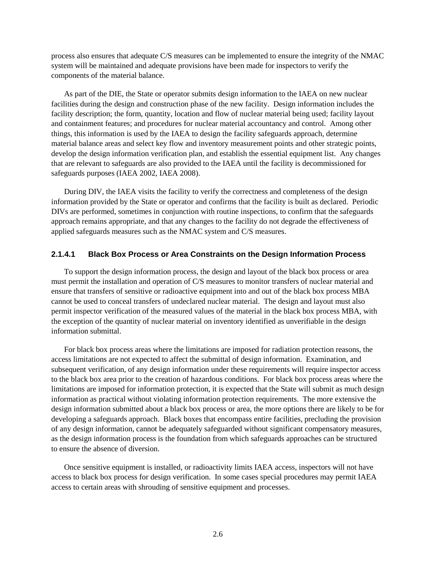process also ensures that adequate C/S measures can be implemented to ensure the integrity of the NMAC system will be maintained and adequate provisions have been made for inspectors to verify the components of the material balance.

As part of the DIE, the State or operator submits design information to the IAEA on new nuclear facilities during the design and construction phase of the new facility. Design information includes the facility description; the form, quantity, location and flow of nuclear material being used; facility layout and containment features; and procedures for nuclear material accountancy and control. Among other things, this information is used by the IAEA to design the facility safeguards approach, determine material balance areas and select key flow and inventory measurement points and other strategic points, develop the design information verification plan, and establish the essential equipment list. Any changes that are relevant to safeguards are also provided to the IAEA until the facility is decommissioned for safeguards purposes (IAEA 2002, IAEA 2008).

During DIV, the IAEA visits the facility to verify the correctness and completeness of the design information provided by the State or operator and confirms that the facility is built as declared. Periodic DIVs are performed, sometimes in conjunction with routine inspections, to confirm that the safeguards approach remains appropriate, and that any changes to the facility do not degrade the effectiveness of applied safeguards measures such as the NMAC system and C/S measures.

#### **2.1.4.1 Black Box Process or Area Constraints on the Design Information Process**

To support the design information process, the design and layout of the black box process or area must permit the installation and operation of C/S measures to monitor transfers of nuclear material and ensure that transfers of sensitive or radioactive equipment into and out of the black box process MBA cannot be used to conceal transfers of undeclared nuclear material. The design and layout must also permit inspector verification of the measured values of the material in the black box process MBA, with the exception of the quantity of nuclear material on inventory identified as unverifiable in the design information submittal.

For black box process areas where the limitations are imposed for radiation protection reasons, the access limitations are not expected to affect the submittal of design information. Examination, and subsequent verification, of any design information under these requirements will require inspector access to the black box area prior to the creation of hazardous conditions. For black box process areas where the limitations are imposed for information protection, it is expected that the State will submit as much design information as practical without violating information protection requirements. The more extensive the design information submitted about a black box process or area, the more options there are likely to be for developing a safeguards approach. Black boxes that encompass entire facilities, precluding the provision of any design information, cannot be adequately safeguarded without significant compensatory measures, as the design information process is the foundation from which safeguards approaches can be structured to ensure the absence of diversion.

Once sensitive equipment is installed, or radioactivity limits IAEA access, inspectors will not have access to black box process for design verification. In some cases special procedures may permit IAEA access to certain areas with shrouding of sensitive equipment and processes.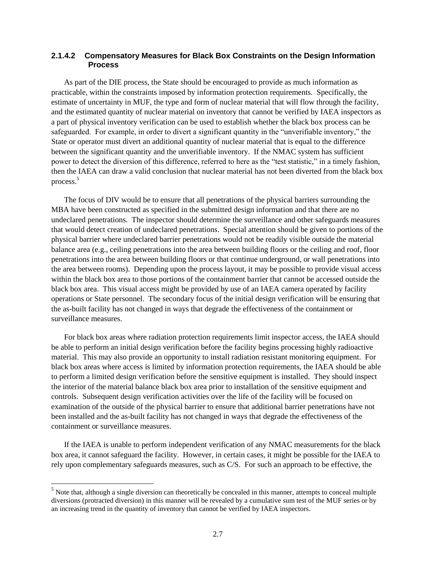#### **2.1.4.2 Compensatory Measures for Black Box Constraints on the Design Information Process**

As part of the DIE process, the State should be encouraged to provide as much information as practicable, within the constraints imposed by information protection requirements. Specifically, the estimate of uncertainty in MUF, the type and form of nuclear material that will flow through the facility, and the estimated quantity of nuclear material on inventory that cannot be verified by IAEA inspectors as a part of physical inventory verification can be used to establish whether the black box process can be safeguarded. For example, in order to divert a significant quantity in the "unverifiable inventory," the State or operator must divert an additional quantity of nuclear material that is equal to the difference between the significant quantity and the unverifiable inventory. If the NMAC system has sufficient power to detect the diversion of this difference, referred to here as the "test statistic," in a timely fashion, then the IAEA can draw a valid conclusion that nuclear material has not been diverted from the black box process.<sup>5</sup>

The focus of DIV would be to ensure that all penetrations of the physical barriers surrounding the MBA have been constructed as specified in the submitted design information and that there are no undeclared penetrations. The inspector should determine the surveillance and other safeguards measures that would detect creation of undeclared penetrations. Special attention should be given to portions of the physical barrier where undeclared barrier penetrations would not be readily visible outside the material balance area (e.g., ceiling penetrations into the area between building floors or the ceiling and roof, floor penetrations into the area between building floors or that continue underground, or wall penetrations into the area between rooms). Depending upon the process layout, it may be possible to provide visual access within the black box area to those portions of the containment barrier that cannot be accessed outside the black box area. This visual access might be provided by use of an IAEA camera operated by facility operations or State personnel. The secondary focus of the initial design verification will be ensuring that the as-built facility has not changed in ways that degrade the effectiveness of the containment or surveillance measures.

For black box areas where radiation protection requirements limit inspector access, the IAEA should be able to perform an initial design verification before the facility begins processing highly radioactive material. This may also provide an opportunity to install radiation resistant monitoring equipment. For black box areas where access is limited by information protection requirements, the IAEA should be able to perform a limited design verification before the sensitive equipment is installed. They should inspect the interior of the material balance black box area prior to installation of the sensitive equipment and controls. Subsequent design verification activities over the life of the facility will be focused on examination of the outside of the physical barrier to ensure that additional barrier penetrations have not been installed and the as-built facility has not changed in ways that degrade the effectiveness of the containment or surveillance measures.

If the IAEA is unable to perform independent verification of any NMAC measurements for the black box area, it cannot safeguard the facility. However, in certain cases, it might be possible for the IAEA to rely upon complementary safeguards measures, such as C/S. For such an approach to be effective, the

l

<sup>&</sup>lt;sup>5</sup> Note that, although a single diversion can theoretically be concealed in this manner, attempts to conceal multiple diversions (protracted diversion) in this manner will be revealed by a cumulative sum test of the MUF series or by an increasing trend in the quantity of inventory that cannot be verified by IAEA inspectors.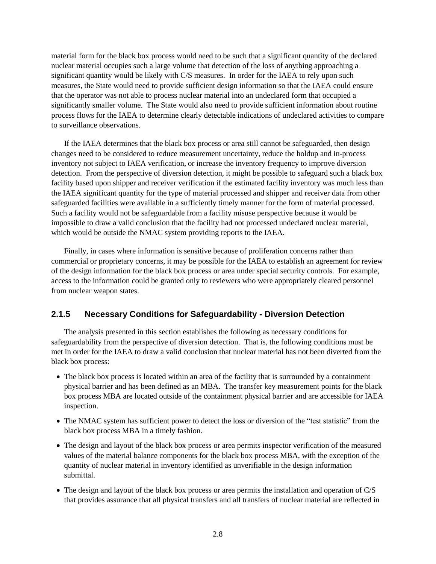material form for the black box process would need to be such that a significant quantity of the declared nuclear material occupies such a large volume that detection of the loss of anything approaching a significant quantity would be likely with C/S measures. In order for the IAEA to rely upon such measures, the State would need to provide sufficient design information so that the IAEA could ensure that the operator was not able to process nuclear material into an undeclared form that occupied a significantly smaller volume. The State would also need to provide sufficient information about routine process flows for the IAEA to determine clearly detectable indications of undeclared activities to compare to surveillance observations.

If the IAEA determines that the black box process or area still cannot be safeguarded, then design changes need to be considered to reduce measurement uncertainty, reduce the holdup and in-process inventory not subject to IAEA verification, or increase the inventory frequency to improve diversion detection. From the perspective of diversion detection, it might be possible to safeguard such a black box facility based upon shipper and receiver verification if the estimated facility inventory was much less than the IAEA significant quantity for the type of material processed and shipper and receiver data from other safeguarded facilities were available in a sufficiently timely manner for the form of material processed. Such a facility would not be safeguardable from a facility misuse perspective because it would be impossible to draw a valid conclusion that the facility had not processed undeclared nuclear material, which would be outside the NMAC system providing reports to the IAEA.

Finally, in cases where information is sensitive because of proliferation concerns rather than commercial or proprietary concerns, it may be possible for the IAEA to establish an agreement for review of the design information for the black box process or area under special security controls. For example, access to the information could be granted only to reviewers who were appropriately cleared personnel from nuclear weapon states.

#### <span id="page-16-0"></span>**2.1.5 Necessary Conditions for Safeguardability - Diversion Detection**

The analysis presented in this section establishes the following as necessary conditions for safeguardability from the perspective of diversion detection. That is, the following conditions must be met in order for the IAEA to draw a valid conclusion that nuclear material has not been diverted from the black box process:

- The black box process is located within an area of the facility that is surrounded by a containment physical barrier and has been defined as an MBA. The transfer key measurement points for the black box process MBA are located outside of the containment physical barrier and are accessible for IAEA inspection.
- The NMAC system has sufficient power to detect the loss or diversion of the "test statistic" from the black box process MBA in a timely fashion.
- The design and layout of the black box process or area permits inspector verification of the measured values of the material balance components for the black box process MBA, with the exception of the quantity of nuclear material in inventory identified as unverifiable in the design information submittal.
- The design and layout of the black box process or area permits the installation and operation of C/S that provides assurance that all physical transfers and all transfers of nuclear material are reflected in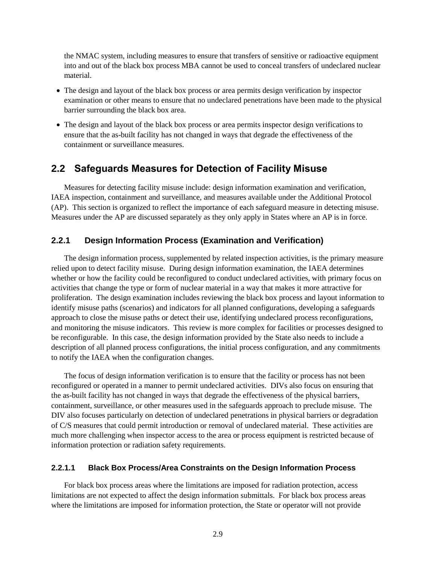the NMAC system, including measures to ensure that transfers of sensitive or radioactive equipment into and out of the black box process MBA cannot be used to conceal transfers of undeclared nuclear material.

- The design and layout of the black box process or area permits design verification by inspector examination or other means to ensure that no undeclared penetrations have been made to the physical barrier surrounding the black box area.
- The design and layout of the black box process or area permits inspector design verifications to ensure that the as-built facility has not changed in ways that degrade the effectiveness of the containment or surveillance measures.

#### <span id="page-17-0"></span>**2.2 Safeguards Measures for Detection of Facility Misuse**

Measures for detecting facility misuse include: design information examination and verification, IAEA inspection, containment and surveillance, and measures available under the Additional Protocol (AP). This section is organized to reflect the importance of each safeguard measure in detecting misuse. Measures under the AP are discussed separately as they only apply in States where an AP is in force.

#### <span id="page-17-1"></span>**2.2.1 Design Information Process (Examination and Verification)**

The design information process, supplemented by related inspection activities, is the primary measure relied upon to detect facility misuse. During design information examination, the IAEA determines whether or how the facility could be reconfigured to conduct undeclared activities, with primary focus on activities that change the type or form of nuclear material in a way that makes it more attractive for proliferation. The design examination includes reviewing the black box process and layout information to identify misuse paths (scenarios) and indicators for all planned configurations, developing a safeguards approach to close the misuse paths or detect their use, identifying undeclared process reconfigurations, and monitoring the misuse indicators. This review is more complex for facilities or processes designed to be reconfigurable. In this case, the design information provided by the State also needs to include a description of all planned process configurations, the initial process configuration, and any commitments to notify the IAEA when the configuration changes.

The focus of design information verification is to ensure that the facility or process has not been reconfigured or operated in a manner to permit undeclared activities. DIVs also focus on ensuring that the as-built facility has not changed in ways that degrade the effectiveness of the physical barriers, containment, surveillance, or other measures used in the safeguards approach to preclude misuse. The DIV also focuses particularly on detection of undeclared penetrations in physical barriers or degradation of C/S measures that could permit introduction or removal of undeclared material. These activities are much more challenging when inspector access to the area or process equipment is restricted because of information protection or radiation safety requirements.

#### **2.2.1.1 Black Box Process/Area Constraints on the Design Information Process**

For black box process areas where the limitations are imposed for radiation protection, access limitations are not expected to affect the design information submittals. For black box process areas where the limitations are imposed for information protection, the State or operator will not provide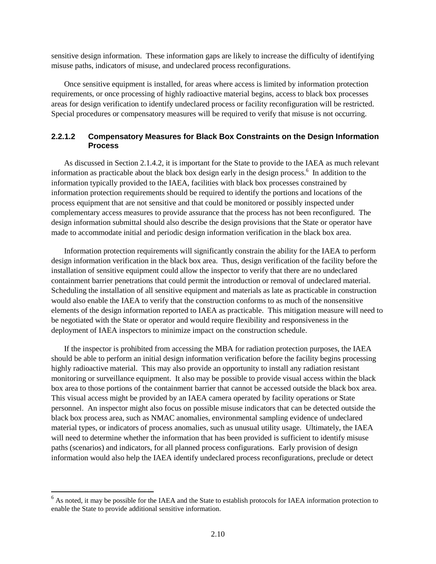sensitive design information. These information gaps are likely to increase the difficulty of identifying misuse paths, indicators of misuse, and undeclared process reconfigurations.

Once sensitive equipment is installed, for areas where access is limited by information protection requirements, or once processing of highly radioactive material begins, access to black box processes areas for design verification to identify undeclared process or facility reconfiguration will be restricted. Special procedures or compensatory measures will be required to verify that misuse is not occurring.

#### **2.2.1.2 Compensatory Measures for Black Box Constraints on the Design Information Process**

As discussed in Section 2.1.4.2, it is important for the State to provide to the IAEA as much relevant information as practicable about the black box design early in the design process.<sup>6</sup> In addition to the information typically provided to the IAEA, facilities with black box processes constrained by information protection requirements should be required to identify the portions and locations of the process equipment that are not sensitive and that could be monitored or possibly inspected under complementary access measures to provide assurance that the process has not been reconfigured. The design information submittal should also describe the design provisions that the State or operator have made to accommodate initial and periodic design information verification in the black box area.

Information protection requirements will significantly constrain the ability for the IAEA to perform design information verification in the black box area. Thus, design verification of the facility before the installation of sensitive equipment could allow the inspector to verify that there are no undeclared containment barrier penetrations that could permit the introduction or removal of undeclared material. Scheduling the installation of all sensitive equipment and materials as late as practicable in construction would also enable the IAEA to verify that the construction conforms to as much of the nonsensitive elements of the design information reported to IAEA as practicable. This mitigation measure will need to be negotiated with the State or operator and would require flexibility and responsiveness in the deployment of IAEA inspectors to minimize impact on the construction schedule.

If the inspector is prohibited from accessing the MBA for radiation protection purposes, the IAEA should be able to perform an initial design information verification before the facility begins processing highly radioactive material. This may also provide an opportunity to install any radiation resistant monitoring or surveillance equipment. It also may be possible to provide visual access within the black box area to those portions of the containment barrier that cannot be accessed outside the black box area. This visual access might be provided by an IAEA camera operated by facility operations or State personnel. An inspector might also focus on possible misuse indicators that can be detected outside the black box process area, such as NMAC anomalies, environmental sampling evidence of undeclared material types, or indicators of process anomalies, such as unusual utility usage. Ultimately, the IAEA will need to determine whether the information that has been provided is sufficient to identify misuse paths (scenarios) and indicators, for all planned process configurations. Early provision of design information would also help the IAEA identify undeclared process reconfigurations, preclude or detect

 $\overline{a}$ 

 $6$  As noted, it may be possible for the IAEA and the State to establish protocols for IAEA information protection to enable the State to provide additional sensitive information.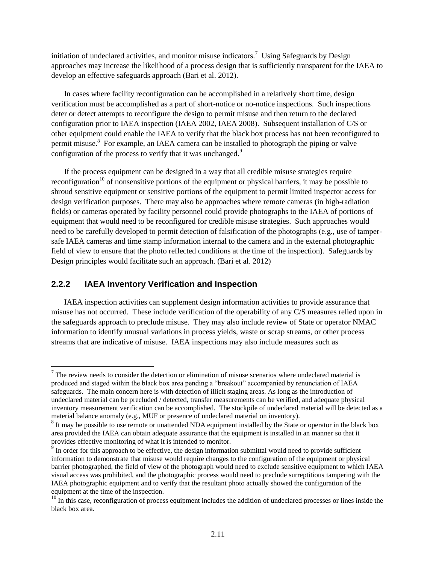initiation of undeclared activities, and monitor misuse indicators.<sup>7</sup> Using Safeguards by Design approaches may increase the likelihood of a process design that is sufficiently transparent for the IAEA to develop an effective safeguards approach (Bari et al. 2012).

In cases where facility reconfiguration can be accomplished in a relatively short time, design verification must be accomplished as a part of short-notice or no-notice inspections. Such inspections deter or detect attempts to reconfigure the design to permit misuse and then return to the declared configuration prior to IAEA inspection (IAEA 2002, IAEA 2008). Subsequent installation of C/S or other equipment could enable the IAEA to verify that the black box process has not been reconfigured to permit misuse.<sup>8</sup> For example, an IAEA camera can be installed to photograph the piping or valve configuration of the process to verify that it was unchanged.<sup>9</sup>

If the process equipment can be designed in a way that all credible misuse strategies require reconfiguration<sup>10</sup> of nonsensitive portions of the equipment or physical barriers, it may be possible to shroud sensitive equipment or sensitive portions of the equipment to permit limited inspector access for design verification purposes. There may also be approaches where remote cameras (in high-radiation fields) or cameras operated by facility personnel could provide photographs to the IAEA of portions of equipment that would need to be reconfigured for credible misuse strategies. Such approaches would need to be carefully developed to permit detection of falsification of the photographs (e.g., use of tampersafe IAEA cameras and time stamp information internal to the camera and in the external photographic field of view to ensure that the photo reflected conditions at the time of the inspection). Safeguards by Design principles would facilitate such an approach. (Bari et al. 2012)

#### <span id="page-19-0"></span>**2.2.2 IAEA Inventory Verification and Inspection**

 $\overline{a}$ 

IAEA inspection activities can supplement design information activities to provide assurance that misuse has not occurred. These include verification of the operability of any C/S measures relied upon in the safeguards approach to preclude misuse. They may also include review of State or operator NMAC information to identify unusual variations in process yields, waste or scrap streams, or other process streams that are indicative of misuse. IAEA inspections may also include measures such as

 $<sup>7</sup>$  The review needs to consider the detection or elimination of misuse scenarios where undeclared material is</sup> produced and staged within the black box area pending a "breakout" accompanied by renunciation of IAEA safeguards. The main concern here is with detection of illicit staging areas. As long as the introduction of undeclared material can be precluded / detected, transfer measurements can be verified, and adequate physical inventory measurement verification can be accomplished. The stockpile of undeclared material will be detected as a material balance anomaly (e.g., MUF or presence of undeclared material on inventory).

<sup>&</sup>lt;sup>8</sup> It may be possible to use remote or unattended NDA equipment installed by the State or operator in the black box area provided the IAEA can obtain adequate assurance that the equipment is installed in an manner so that it provides effective monitoring of what it is intended to monitor.

 $\hat{P}$  In order for this approach to be effective, the design information submittal would need to provide sufficient information to demonstrate that misuse would require changes to the configuration of the equipment or physical barrier photographed, the field of view of the photograph would need to exclude sensitive equipment to which IAEA visual access was prohibited, and the photographic process would need to preclude surreptitious tampering with the IAEA photographic equipment and to verify that the resultant photo actually showed the configuration of the equipment at the time of the inspection.

 $10$  In this case, reconfiguration of process equipment includes the addition of undeclared processes or lines inside the black box area.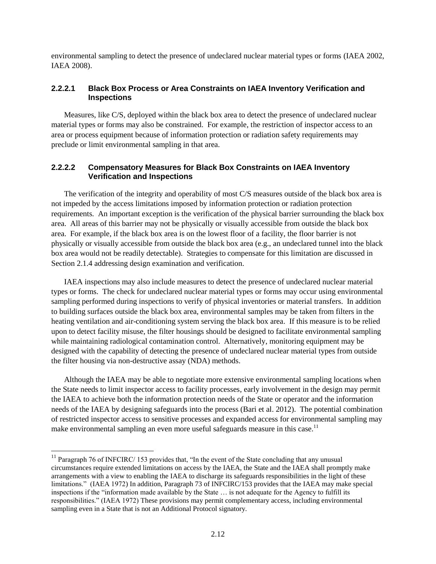environmental sampling to detect the presence of undeclared nuclear material types or forms (IAEA 2002, IAEA 2008).

#### **2.2.2.1 Black Box Process or Area Constraints on IAEA Inventory Verification and Inspections**

Measures, like C/S, deployed within the black box area to detect the presence of undeclared nuclear material types or forms may also be constrained. For example, the restriction of inspector access to an area or process equipment because of information protection or radiation safety requirements may preclude or limit environmental sampling in that area.

#### **2.2.2.2 Compensatory Measures for Black Box Constraints on IAEA Inventory Verification and Inspections**

The verification of the integrity and operability of most C/S measures outside of the black box area is not impeded by the access limitations imposed by information protection or radiation protection requirements. An important exception is the verification of the physical barrier surrounding the black box area. All areas of this barrier may not be physically or visually accessible from outside the black box area. For example, if the black box area is on the lowest floor of a facility, the floor barrier is not physically or visually accessible from outside the black box area (e.g., an undeclared tunnel into the black box area would not be readily detectable). Strategies to compensate for this limitation are discussed in Section 2.1.4 addressing design examination and verification.

IAEA inspections may also include measures to detect the presence of undeclared nuclear material types or forms. The check for undeclared nuclear material types or forms may occur using environmental sampling performed during inspections to verify of physical inventories or material transfers. In addition to building surfaces outside the black box area, environmental samples may be taken from filters in the heating ventilation and air-conditioning system serving the black box area. If this measure is to be relied upon to detect facility misuse, the filter housings should be designed to facilitate environmental sampling while maintaining radiological contamination control. Alternatively, monitoring equipment may be designed with the capability of detecting the presence of undeclared nuclear material types from outside the filter housing via non-destructive assay (NDA) methods.

Although the IAEA may be able to negotiate more extensive environmental sampling locations when the State needs to limit inspector access to facility processes, early involvement in the design may permit the IAEA to achieve both the information protection needs of the State or operator and the information needs of the IAEA by designing safeguards into the process (Bari et al. 2012). The potential combination of restricted inspector access to sensitive processes and expanded access for environmental sampling may make environmental sampling an even more useful safeguards measure in this case.<sup>11</sup>

 $\overline{a}$ 

<sup>&</sup>lt;sup>11</sup> Paragraph 76 of INFCIRC/ 153 provides that, "In the event of the State concluding that any unusual circumstances require extended limitations on access by the IAEA, the State and the IAEA shall promptly make arrangements with a view to enabling the IAEA to discharge its safeguards responsibilities in the light of these limitations." (IAEA 1972) In addition, Paragraph 73 of INFCIRC/153 provides that the IAEA may make special inspections if the "information made available by the State … is not adequate for the Agency to fulfill its responsibilities." (IAEA 1972) These provisions may permit complementary access, including environmental sampling even in a State that is not an Additional Protocol signatory.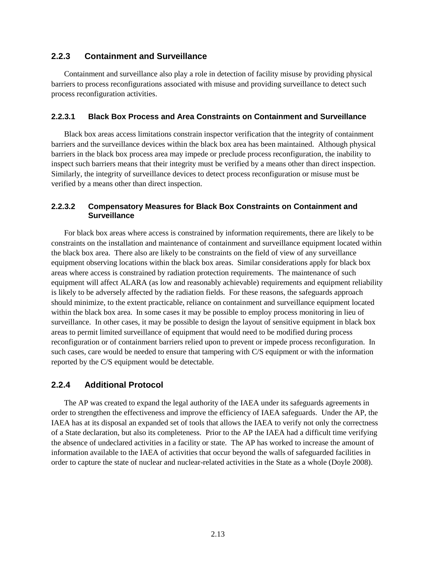#### <span id="page-21-0"></span>**2.2.3 Containment and Surveillance**

Containment and surveillance also play a role in detection of facility misuse by providing physical barriers to process reconfigurations associated with misuse and providing surveillance to detect such process reconfiguration activities.

#### **2.2.3.1 Black Box Process and Area Constraints on Containment and Surveillance**

Black box areas access limitations constrain inspector verification that the integrity of containment barriers and the surveillance devices within the black box area has been maintained. Although physical barriers in the black box process area may impede or preclude process reconfiguration, the inability to inspect such barriers means that their integrity must be verified by a means other than direct inspection. Similarly, the integrity of surveillance devices to detect process reconfiguration or misuse must be verified by a means other than direct inspection.

#### **2.2.3.2 Compensatory Measures for Black Box Constraints on Containment and Surveillance**

For black box areas where access is constrained by information requirements, there are likely to be constraints on the installation and maintenance of containment and surveillance equipment located within the black box area. There also are likely to be constraints on the field of view of any surveillance equipment observing locations within the black box areas. Similar considerations apply for black box areas where access is constrained by radiation protection requirements. The maintenance of such equipment will affect ALARA (as low and reasonably achievable) requirements and equipment reliability is likely to be adversely affected by the radiation fields. For these reasons, the safeguards approach should minimize, to the extent practicable, reliance on containment and surveillance equipment located within the black box area. In some cases it may be possible to employ process monitoring in lieu of surveillance. In other cases, it may be possible to design the layout of sensitive equipment in black box areas to permit limited surveillance of equipment that would need to be modified during process reconfiguration or of containment barriers relied upon to prevent or impede process reconfiguration. In such cases, care would be needed to ensure that tampering with C/S equipment or with the information reported by the C/S equipment would be detectable.

#### <span id="page-21-1"></span>**2.2.4 Additional Protocol**

The AP was created to expand the legal authority of the IAEA under its safeguards agreements in order to strengthen the effectiveness and improve the efficiency of IAEA safeguards. Under the AP, the IAEA has at its disposal an expanded set of tools that allows the IAEA to verify not only the correctness of a State declaration, but also its completeness. Prior to the AP the IAEA had a difficult time verifying the absence of undeclared activities in a facility or state. The AP has worked to increase the amount of information available to the IAEA of activities that occur beyond the walls of safeguarded facilities in order to capture the state of nuclear and nuclear-related activities in the State as a whole (Doyle 2008).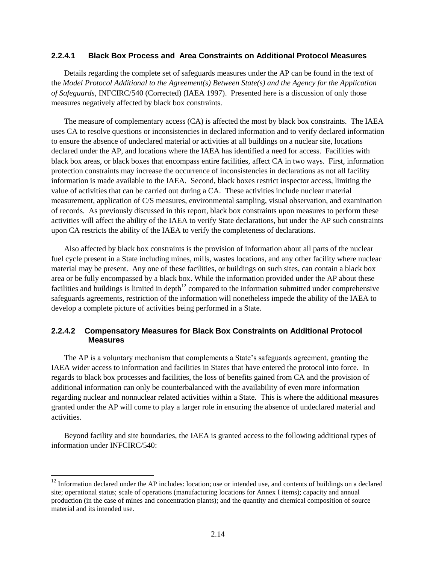#### **2.2.4.1 Black Box Process and Area Constraints on Additional Protocol Measures**

Details regarding the complete set of safeguards measures under the AP can be found in the text of the *Model Protocol Additional to the Agreement(s) Between State(s) and the Agency for the Application of Safeguards*, INFCIRC/540 (Corrected) (IAEA 1997). Presented here is a discussion of only those measures negatively affected by black box constraints.

The measure of complementary access (CA) is affected the most by black box constraints. The IAEA uses CA to resolve questions or inconsistencies in declared information and to verify declared information to ensure the absence of undeclared material or activities at all buildings on a nuclear site, locations declared under the AP, and locations where the IAEA has identified a need for access. Facilities with black box areas, or black boxes that encompass entire facilities, affect CA in two ways. First, information protection constraints may increase the occurrence of inconsistencies in declarations as not all facility information is made available to the IAEA. Second, black boxes restrict inspector access, limiting the value of activities that can be carried out during a CA. These activities include nuclear material measurement, application of C/S measures, environmental sampling, visual observation, and examination of records. As previously discussed in this report, black box constraints upon measures to perform these activities will affect the ability of the IAEA to verify State declarations, but under the AP such constraints upon CA restricts the ability of the IAEA to verify the completeness of declarations.

Also affected by black box constraints is the provision of information about all parts of the nuclear fuel cycle present in a State including mines, mills, wastes locations, and any other facility where nuclear material may be present. Any one of these facilities, or buildings on such sites, can contain a black box area or be fully encompassed by a black box. While the information provided under the AP about these facilities and buildings is limited in depth<sup>12</sup> compared to the information submitted under comprehensive safeguards agreements, restriction of the information will nonetheless impede the ability of the IAEA to develop a complete picture of activities being performed in a State.

#### **2.2.4.2 Compensatory Measures for Black Box Constraints on Additional Protocol Measures**

The AP is a voluntary mechanism that complements a State's safeguards agreement, granting the IAEA wider access to information and facilities in States that have entered the protocol into force. In regards to black box processes and facilities, the loss of benefits gained from CA and the provision of additional information can only be counterbalanced with the availability of even more information regarding nuclear and nonnuclear related activities within a State. This is where the additional measures granted under the AP will come to play a larger role in ensuring the absence of undeclared material and activities.

Beyond facility and site boundaries, the IAEA is granted access to the following additional types of information under INFCIRC/540:

 $\overline{a}$ 

 $12$  Information declared under the AP includes: location; use or intended use, and contents of buildings on a declared site; operational status; scale of operations (manufacturing locations for Annex I items); capacity and annual production (in the case of mines and concentration plants); and the quantity and chemical composition of source material and its intended use.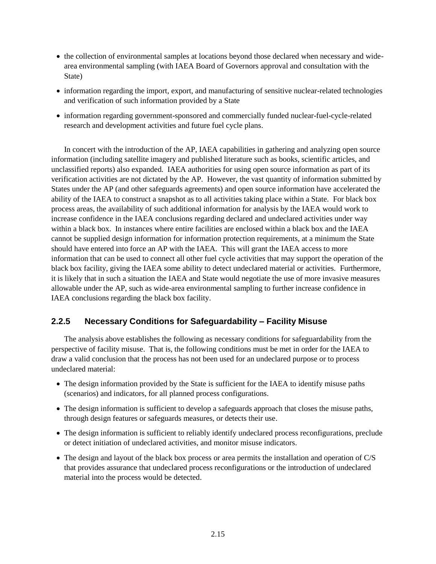- the collection of environmental samples at locations beyond those declared when necessary and widearea environmental sampling (with IAEA Board of Governors approval and consultation with the State)
- information regarding the import, export, and manufacturing of sensitive nuclear-related technologies and verification of such information provided by a State
- information regarding government-sponsored and commercially funded nuclear-fuel-cycle-related research and development activities and future fuel cycle plans.

In concert with the introduction of the AP, IAEA capabilities in gathering and analyzing open source information (including satellite imagery and published literature such as books, scientific articles, and unclassified reports) also expanded. IAEA authorities for using open source information as part of its verification activities are not dictated by the AP. However, the vast quantity of information submitted by States under the AP (and other safeguards agreements) and open source information have accelerated the ability of the IAEA to construct a snapshot as to all activities taking place within a State. For black box process areas, the availability of such additional information for analysis by the IAEA would work to increase confidence in the IAEA conclusions regarding declared and undeclared activities under way within a black box. In instances where entire facilities are enclosed within a black box and the IAEA cannot be supplied design information for information protection requirements, at a minimum the State should have entered into force an AP with the IAEA. This will grant the IAEA access to more information that can be used to connect all other fuel cycle activities that may support the operation of the black box facility, giving the IAEA some ability to detect undeclared material or activities. Furthermore, it is likely that in such a situation the IAEA and State would negotiate the use of more invasive measures allowable under the AP, such as wide-area environmental sampling to further increase confidence in IAEA conclusions regarding the black box facility.

#### <span id="page-23-0"></span>**2.2.5 Necessary Conditions for Safeguardability – Facility Misuse**

The analysis above establishes the following as necessary conditions for safeguardability from the perspective of facility misuse. That is, the following conditions must be met in order for the IAEA to draw a valid conclusion that the process has not been used for an undeclared purpose or to process undeclared material:

- The design information provided by the State is sufficient for the IAEA to identify misuse paths (scenarios) and indicators, for all planned process configurations.
- The design information is sufficient to develop a safeguards approach that closes the misuse paths, through design features or safeguards measures, or detects their use.
- The design information is sufficient to reliably identify undeclared process reconfigurations, preclude or detect initiation of undeclared activities, and monitor misuse indicators.
- The design and layout of the black box process or area permits the installation and operation of C/S that provides assurance that undeclared process reconfigurations or the introduction of undeclared material into the process would be detected.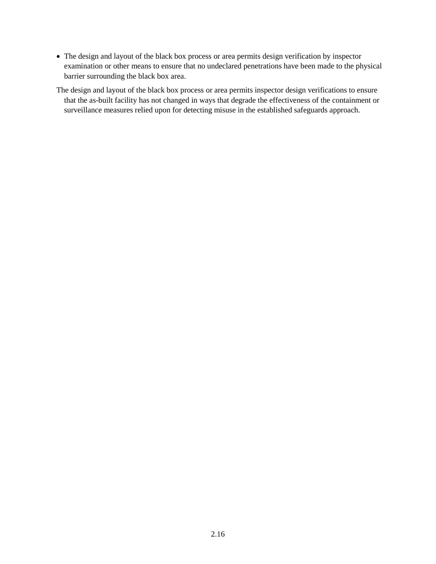The design and layout of the black box process or area permits design verification by inspector examination or other means to ensure that no undeclared penetrations have been made to the physical barrier surrounding the black box area.

The design and layout of the black box process or area permits inspector design verifications to ensure that the as-built facility has not changed in ways that degrade the effectiveness of the containment or surveillance measures relied upon for detecting misuse in the established safeguards approach.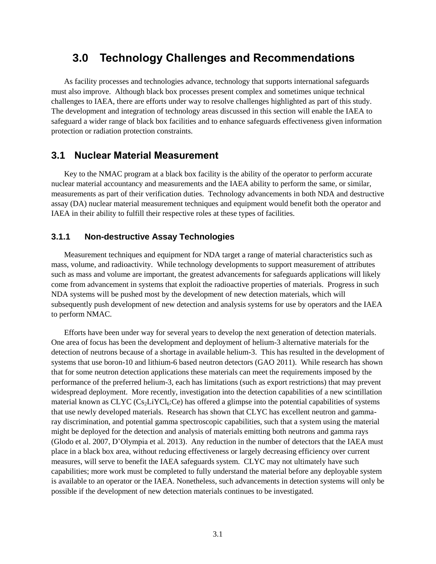## <span id="page-25-0"></span>**3.0 Technology Challenges and Recommendations**

As facility processes and technologies advance, technology that supports international safeguards must also improve. Although black box processes present complex and sometimes unique technical challenges to IAEA, there are efforts under way to resolve challenges highlighted as part of this study. The development and integration of technology areas discussed in this section will enable the IAEA to safeguard a wider range of black box facilities and to enhance safeguards effectiveness given information protection or radiation protection constraints.

#### <span id="page-25-1"></span>**3.1 Nuclear Material Measurement**

Key to the NMAC program at a black box facility is the ability of the operator to perform accurate nuclear material accountancy and measurements and the IAEA ability to perform the same, or similar, measurements as part of their verification duties. Technology advancements in both NDA and destructive assay (DA) nuclear material measurement techniques and equipment would benefit both the operator and IAEA in their ability to fulfill their respective roles at these types of facilities.

#### <span id="page-25-2"></span>**3.1.1 Non-destructive Assay Technologies**

Measurement techniques and equipment for NDA target a range of material characteristics such as mass, volume, and radioactivity. While technology developments to support measurement of attributes such as mass and volume are important, the greatest advancements for safeguards applications will likely come from advancement in systems that exploit the radioactive properties of materials. Progress in such NDA systems will be pushed most by the development of new detection materials, which will subsequently push development of new detection and analysis systems for use by operators and the IAEA to perform NMAC.

Efforts have been under way for several years to develop the next generation of detection materials. One area of focus has been the development and deployment of helium-3 alternative materials for the detection of neutrons because of a shortage in available helium-3. This has resulted in the development of systems that use boron-10 and lithium-6 based neutron detectors (GAO 2011). While research has shown that for some neutron detection applications these materials can meet the requirements imposed by the performance of the preferred helium-3, each has limitations (such as export restrictions) that may prevent widespread deployment. More recently, investigation into the detection capabilities of a new scintillation material known as  $CLYC$  ( $Cs<sub>2</sub>LiYC$ )<sub>6</sub>:Ce) has offered a glimpse into the potential capabilities of systems that use newly developed materials. Research has shown that CLYC has excellent neutron and gammaray discrimination, and potential gamma spectroscopic capabilities, such that a system using the material might be deployed for the detection and analysis of materials emitting both neutrons and gamma rays (Glodo et al. 2007, D'Olympia et al. 2013). Any reduction in the number of detectors that the IAEA must place in a black box area, without reducing effectiveness or largely decreasing efficiency over current measures, will serve to benefit the IAEA safeguards system. CLYC may not ultimately have such capabilities; more work must be completed to fully understand the material before any deployable system is available to an operator or the IAEA. Nonetheless, such advancements in detection systems will only be possible if the development of new detection materials continues to be investigated.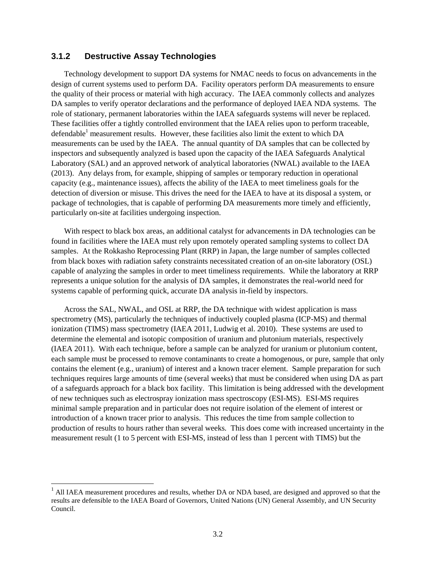#### <span id="page-26-0"></span>**3.1.2 Destructive Assay Technologies**

l

Technology development to support DA systems for NMAC needs to focus on advancements in the design of current systems used to perform DA. Facility operators perform DA measurements to ensure the quality of their process or material with high accuracy. The IAEA commonly collects and analyzes DA samples to verify operator declarations and the performance of deployed IAEA NDA systems. The role of stationary, permanent laboratories within the IAEA safeguards systems will never be replaced. These facilities offer a tightly controlled environment that the IAEA relies upon to perform traceable, defendable<sup>1</sup> measurement results. However, these facilities also limit the extent to which DA measurements can be used by the IAEA. The annual quantity of DA samples that can be collected by inspectors and subsequently analyzed is based upon the capacity of the IAEA Safeguards Analytical Laboratory (SAL) and an approved network of analytical laboratories (NWAL) available to the IAEA (2013). Any delays from, for example, shipping of samples or temporary reduction in operational capacity (e.g., maintenance issues), affects the ability of the IAEA to meet timeliness goals for the detection of diversion or misuse. This drives the need for the IAEA to have at its disposal a system, or package of technologies, that is capable of performing DA measurements more timely and efficiently, particularly on-site at facilities undergoing inspection.

With respect to black box areas, an additional catalyst for advancements in DA technologies can be found in facilities where the IAEA must rely upon remotely operated sampling systems to collect DA samples. At the Rokkasho Reprocessing Plant (RRP) in Japan, the large number of samples collected from black boxes with radiation safety constraints necessitated creation of an on-site laboratory (OSL) capable of analyzing the samples in order to meet timeliness requirements. While the laboratory at RRP represents a unique solution for the analysis of DA samples, it demonstrates the real-world need for systems capable of performing quick, accurate DA analysis in-field by inspectors.

Across the SAL, NWAL, and OSL at RRP, the DA technique with widest application is mass spectrometry (MS), particularly the techniques of inductively coupled plasma (ICP-MS) and thermal ionization (TIMS) mass spectrometry (IAEA 2011, Ludwig et al. 2010). These systems are used to determine the elemental and isotopic composition of uranium and plutonium materials, respectively (IAEA 2011). With each technique, before a sample can be analyzed for uranium or plutonium content, each sample must be processed to remove contaminants to create a homogenous, or pure, sample that only contains the element (e.g., uranium) of interest and a known tracer element. Sample preparation for such techniques requires large amounts of time (several weeks) that must be considered when using DA as part of a safeguards approach for a black box facility. This limitation is being addressed with the development of new techniques such as electrospray ionization mass spectroscopy (ESI-MS). ESI-MS requires minimal sample preparation and in particular does not require isolation of the element of interest or introduction of a known tracer prior to analysis. This reduces the time from sample collection to production of results to hours rather than several weeks. This does come with increased uncertainty in the measurement result (1 to 5 percent with ESI-MS, instead of less than 1 percent with TIMS) but the

<sup>&</sup>lt;sup>1</sup> All IAEA measurement procedures and results, whether DA or NDA based, are designed and approved so that the results are defensible to the IAEA Board of Governors, United Nations (UN) General Assembly, and UN Security Council.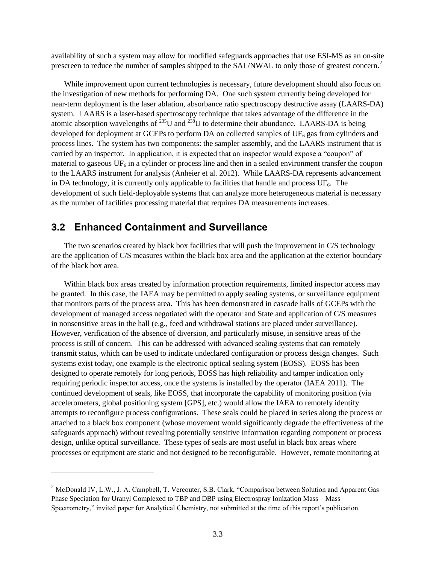availability of such a system may allow for modified safeguards approaches that use ESI-MS as an on-site prescreen to reduce the number of samples shipped to the SAL/NWAL to only those of greatest concern.<sup>2</sup>

While improvement upon current technologies is necessary, future development should also focus on the investigation of new methods for performing DA. One such system currently being developed for near-term deployment is the laser ablation, absorbance ratio spectroscopy destructive assay (LAARS-DA) system. LAARS is a laser-based spectroscopy technique that takes advantage of the difference in the atomic absorption wavelengths of  $^{235}$ U and  $^{238}$ U to determine their abundance. LAARS-DA is being developed for deployment at GCEPs to perform DA on collected samples of  $UF<sub>6</sub>$  gas from cylinders and process lines. The system has two components: the sampler assembly, and the LAARS instrument that is carried by an inspector. In application, it is expected that an inspector would expose a "coupon" of material to gaseous  $UF<sub>6</sub>$  in a cylinder or process line and then in a sealed environment transfer the coupon to the LAARS instrument for analysis (Anheier et al. 2012). While LAARS-DA represents advancement in DA technology, it is currently only applicable to facilities that handle and process  $UF_6$ . The development of such field-deployable systems that can analyze more heterogeneous material is necessary as the number of facilities processing material that requires DA measurements increases.

#### <span id="page-27-0"></span>**3.2 Enhanced Containment and Surveillance**

l

The two scenarios created by black box facilities that will push the improvement in C/S technology are the application of C/S measures within the black box area and the application at the exterior boundary of the black box area.

Within black box areas created by information protection requirements, limited inspector access may be granted. In this case, the IAEA may be permitted to apply sealing systems, or surveillance equipment that monitors parts of the process area. This has been demonstrated in cascade halls of GCEPs with the development of managed access negotiated with the operator and State and application of C/S measures in nonsensitive areas in the hall (e.g., feed and withdrawal stations are placed under surveillance). However, verification of the absence of diversion, and particularly misuse, in sensitive areas of the process is still of concern. This can be addressed with advanced sealing systems that can remotely transmit status, which can be used to indicate undeclared configuration or process design changes. Such systems exist today, one example is the electronic optical sealing system (EOSS). EOSS has been designed to operate remotely for long periods, EOSS has high reliability and tamper indication only requiring periodic inspector access, once the systems is installed by the operator (IAEA 2011). The continued development of seals, like EOSS, that incorporate the capability of monitoring position (via accelerometers, global positioning system [GPS], etc.) would allow the IAEA to remotely identify attempts to reconfigure process configurations. These seals could be placed in series along the process or attached to a black box component (whose movement would significantly degrade the effectiveness of the safeguards approach) without revealing potentially sensitive information regarding component or process design, unlike optical surveillance. These types of seals are most useful in black box areas where processes or equipment are static and not designed to be reconfigurable. However, remote monitoring at

<sup>&</sup>lt;sup>2</sup> McDonald IV, L.W., J. A. Campbell, T. Vercouter, S.B. Clark, "Comparison between Solution and Apparent Gas Phase Speciation for Uranyl Complexed to TBP and DBP using Electrospray Ionization Mass – Mass Spectrometry," invited paper for Analytical Chemistry, not submitted at the time of this report's publication.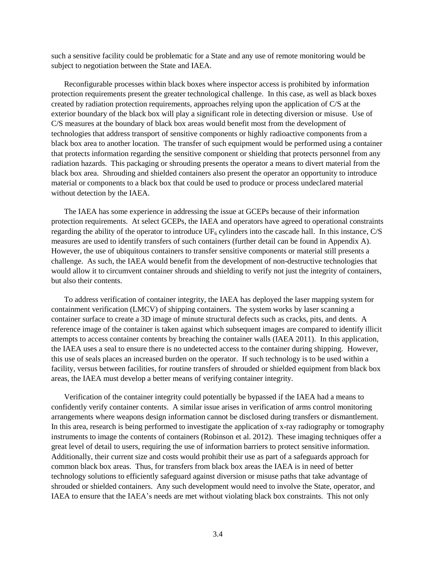such a sensitive facility could be problematic for a State and any use of remote monitoring would be subject to negotiation between the State and IAEA.

Reconfigurable processes within black boxes where inspector access is prohibited by information protection requirements present the greater technological challenge. In this case, as well as black boxes created by radiation protection requirements, approaches relying upon the application of C/S at the exterior boundary of the black box will play a significant role in detecting diversion or misuse. Use of C/S measures at the boundary of black box areas would benefit most from the development of technologies that address transport of sensitive components or highly radioactive components from a black box area to another location. The transfer of such equipment would be performed using a container that protects information regarding the sensitive component or shielding that protects personnel from any radiation hazards. This packaging or shrouding presents the operator a means to divert material from the black box area. Shrouding and shielded containers also present the operator an opportunity to introduce material or components to a black box that could be used to produce or process undeclared material without detection by the IAEA.

The IAEA has some experience in addressing the issue at GCEPs because of their information protection requirements. At select GCEPs, the IAEA and operators have agreed to operational constraints regarding the ability of the operator to introduce  $UF_6$  cylinders into the cascade hall. In this instance,  $C/S$ measures are used to identify transfers of such containers (further detail can be found in Appendix A). However, the use of ubiquitous containers to transfer sensitive components or material still presents a challenge. As such, the IAEA would benefit from the development of non-destructive technologies that would allow it to circumvent container shrouds and shielding to verify not just the integrity of containers, but also their contents.

To address verification of container integrity, the IAEA has deployed the laser mapping system for containment verification (LMCV) of shipping containers. The system works by laser scanning a container surface to create a 3D image of minute structural defects such as cracks, pits, and dents. A reference image of the container is taken against which subsequent images are compared to identify illicit attempts to access container contents by breaching the container walls (IAEA 2011). In this application, the IAEA uses a seal to ensure there is no undetected access to the container during shipping. However, this use of seals places an increased burden on the operator. If such technology is to be used within a facility, versus between facilities, for routine transfers of shrouded or shielded equipment from black box areas, the IAEA must develop a better means of verifying container integrity.

Verification of the container integrity could potentially be bypassed if the IAEA had a means to confidently verify container contents. A similar issue arises in verification of arms control monitoring arrangements where weapons design information cannot be disclosed during transfers or dismantlement. In this area, research is being performed to investigate the application of x-ray radiography or tomography instruments to image the contents of containers (Robinson et al. 2012). These imaging techniques offer a great level of detail to users, requiring the use of information barriers to protect sensitive information. Additionally, their current size and costs would prohibit their use as part of a safeguards approach for common black box areas. Thus, for transfers from black box areas the IAEA is in need of better technology solutions to efficiently safeguard against diversion or misuse paths that take advantage of shrouded or shielded containers. Any such development would need to involve the State, operator, and IAEA to ensure that the IAEA's needs are met without violating black box constraints. This not only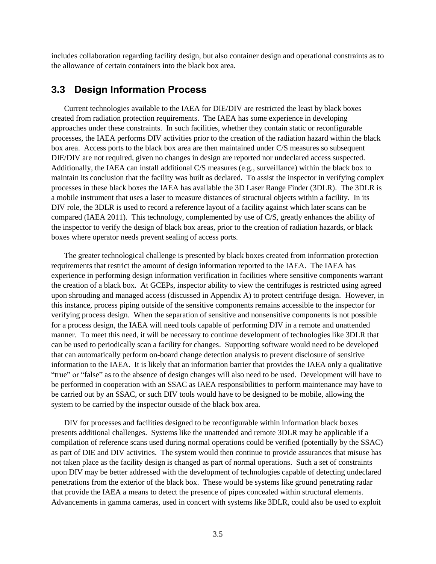includes collaboration regarding facility design, but also container design and operational constraints as to the allowance of certain containers into the black box area.

#### <span id="page-29-0"></span>**3.3 Design Information Process**

Current technologies available to the IAEA for DIE/DIV are restricted the least by black boxes created from radiation protection requirements. The IAEA has some experience in developing approaches under these constraints. In such facilities, whether they contain static or reconfigurable processes, the IAEA performs DIV activities prior to the creation of the radiation hazard within the black box area. Access ports to the black box area are then maintained under C/S measures so subsequent DIE/DIV are not required, given no changes in design are reported nor undeclared access suspected. Additionally, the IAEA can install additional C/S measures (e.g., surveillance) within the black box to maintain its conclusion that the facility was built as declared. To assist the inspector in verifying complex processes in these black boxes the IAEA has available the 3D Laser Range Finder (3DLR). The 3DLR is a mobile instrument that uses a laser to measure distances of structural objects within a facility. In its DIV role, the 3DLR is used to record a reference layout of a facility against which later scans can be compared (IAEA 2011). This technology, complemented by use of C/S, greatly enhances the ability of the inspector to verify the design of black box areas, prior to the creation of radiation hazards, or black boxes where operator needs prevent sealing of access ports.

The greater technological challenge is presented by black boxes created from information protection requirements that restrict the amount of design information reported to the IAEA. The IAEA has experience in performing design information verification in facilities where sensitive components warrant the creation of a black box. At GCEPs, inspector ability to view the centrifuges is restricted using agreed upon shrouding and managed access (discussed in Appendix A) to protect centrifuge design. However, in this instance, process piping outside of the sensitive components remains accessible to the inspector for verifying process design. When the separation of sensitive and nonsensitive components is not possible for a process design, the IAEA will need tools capable of performing DIV in a remote and unattended manner. To meet this need, it will be necessary to continue development of technologies like 3DLR that can be used to periodically scan a facility for changes. Supporting software would need to be developed that can automatically perform on-board change detection analysis to prevent disclosure of sensitive information to the IAEA. It is likely that an information barrier that provides the IAEA only a qualitative "true" or "false" as to the absence of design changes will also need to be used. Development will have to be performed in cooperation with an SSAC as IAEA responsibilities to perform maintenance may have to be carried out by an SSAC, or such DIV tools would have to be designed to be mobile, allowing the system to be carried by the inspector outside of the black box area.

DIV for processes and facilities designed to be reconfigurable within information black boxes presents additional challenges. Systems like the unattended and remote 3DLR may be applicable if a compilation of reference scans used during normal operations could be verified (potentially by the SSAC) as part of DIE and DIV activities. The system would then continue to provide assurances that misuse has not taken place as the facility design is changed as part of normal operations. Such a set of constraints upon DIV may be better addressed with the development of technologies capable of detecting undeclared penetrations from the exterior of the black box. These would be systems like ground penetrating radar that provide the IAEA a means to detect the presence of pipes concealed within structural elements. Advancements in gamma cameras, used in concert with systems like 3DLR, could also be used to exploit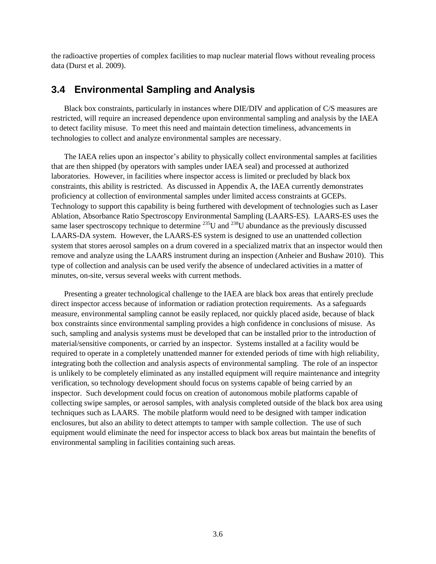the radioactive properties of complex facilities to map nuclear material flows without revealing process data (Durst et al. 2009).

### <span id="page-30-0"></span>**3.4 Environmental Sampling and Analysis**

Black box constraints, particularly in instances where DIE/DIV and application of C/S measures are restricted, will require an increased dependence upon environmental sampling and analysis by the IAEA to detect facility misuse. To meet this need and maintain detection timeliness, advancements in technologies to collect and analyze environmental samples are necessary.

The IAEA relies upon an inspector's ability to physically collect environmental samples at facilities that are then shipped (by operators with samples under IAEA seal) and processed at authorized laboratories. However, in facilities where inspector access is limited or precluded by black box constraints, this ability is restricted. As discussed in Appendix A, the IAEA currently demonstrates proficiency at collection of environmental samples under limited access constraints at GCEPs. Technology to support this capability is being furthered with development of technologies such as Laser Ablation, Absorbance Ratio Spectroscopy Environmental Sampling (LAARS-ES). LAARS-ES uses the same laser spectroscopy technique to determine <sup>235</sup>U and <sup>238</sup>U abundance as the previously discussed LAARS-DA system. However, the LAARS-ES system is designed to use an unattended collection system that stores aerosol samples on a drum covered in a specialized matrix that an inspector would then remove and analyze using the LAARS instrument during an inspection (Anheier and Bushaw 2010). This type of collection and analysis can be used verify the absence of undeclared activities in a matter of minutes, on-site, versus several weeks with current methods.

Presenting a greater technological challenge to the IAEA are black box areas that entirely preclude direct inspector access because of information or radiation protection requirements. As a safeguards measure, environmental sampling cannot be easily replaced, nor quickly placed aside, because of black box constraints since environmental sampling provides a high confidence in conclusions of misuse. As such, sampling and analysis systems must be developed that can be installed prior to the introduction of material/sensitive components, or carried by an inspector. Systems installed at a facility would be required to operate in a completely unattended manner for extended periods of time with high reliability, integrating both the collection and analysis aspects of environmental sampling. The role of an inspector is unlikely to be completely eliminated as any installed equipment will require maintenance and integrity verification, so technology development should focus on systems capable of being carried by an inspector. Such development could focus on creation of autonomous mobile platforms capable of collecting swipe samples, or aerosol samples, with analysis completed outside of the black box area using techniques such as LAARS. The mobile platform would need to be designed with tamper indication enclosures, but also an ability to detect attempts to tamper with sample collection. The use of such equipment would eliminate the need for inspector access to black box areas but maintain the benefits of environmental sampling in facilities containing such areas.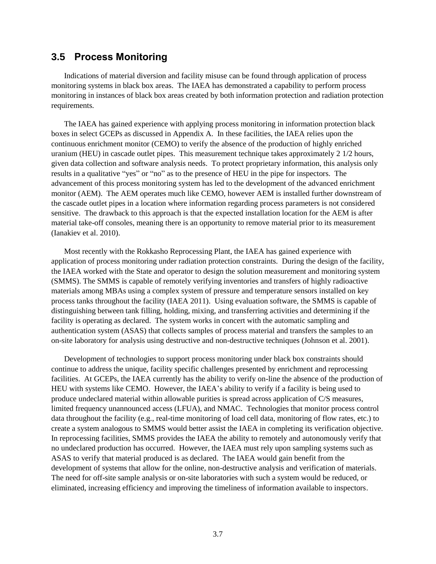#### <span id="page-31-0"></span>**3.5 Process Monitoring**

Indications of material diversion and facility misuse can be found through application of process monitoring systems in black box areas. The IAEA has demonstrated a capability to perform process monitoring in instances of black box areas created by both information protection and radiation protection requirements.

The IAEA has gained experience with applying process monitoring in information protection black boxes in select GCEPs as discussed in Appendix A. In these facilities, the IAEA relies upon the continuous enrichment monitor (CEMO) to verify the absence of the production of highly enriched uranium (HEU) in cascade outlet pipes. This measurement technique takes approximately 2 1/2 hours, given data collection and software analysis needs. To protect proprietary information, this analysis only results in a qualitative "yes" or "no" as to the presence of HEU in the pipe for inspectors. The advancement of this process monitoring system has led to the development of the advanced enrichment monitor (AEM). The AEM operates much like CEMO, however AEM is installed further downstream of the cascade outlet pipes in a location where information regarding process parameters is not considered sensitive. The drawback to this approach is that the expected installation location for the AEM is after material take-off consoles, meaning there is an opportunity to remove material prior to its measurement (Ianakiev et al. 2010).

Most recently with the Rokkasho Reprocessing Plant, the IAEA has gained experience with application of process monitoring under radiation protection constraints. During the design of the facility, the IAEA worked with the State and operator to design the solution measurement and monitoring system (SMMS). The SMMS is capable of remotely verifying inventories and transfers of highly radioactive materials among MBAs using a complex system of pressure and temperature sensors installed on key process tanks throughout the facility (IAEA 2011). Using evaluation software, the SMMS is capable of distinguishing between tank filling, holding, mixing, and transferring activities and determining if the facility is operating as declared. The system works in concert with the automatic sampling and authentication system (ASAS) that collects samples of process material and transfers the samples to an on-site laboratory for analysis using destructive and non-destructive techniques (Johnson et al. 2001).

Development of technologies to support process monitoring under black box constraints should continue to address the unique, facility specific challenges presented by enrichment and reprocessing facilities. At GCEPs, the IAEA currently has the ability to verify on-line the absence of the production of HEU with systems like CEMO. However, the IAEA's ability to verify if a facility is being used to produce undeclared material within allowable purities is spread across application of C/S measures, limited frequency unannounced access (LFUA), and NMAC. Technologies that monitor process control data throughout the facility (e.g., real-time monitoring of load cell data, monitoring of flow rates, etc.) to create a system analogous to SMMS would better assist the IAEA in completing its verification objective. In reprocessing facilities, SMMS provides the IAEA the ability to remotely and autonomously verify that no undeclared production has occurred. However, the IAEA must rely upon sampling systems such as ASAS to verify that material produced is as declared. The IAEA would gain benefit from the development of systems that allow for the online, non-destructive analysis and verification of materials. The need for off-site sample analysis or on-site laboratories with such a system would be reduced, or eliminated, increasing efficiency and improving the timeliness of information available to inspectors.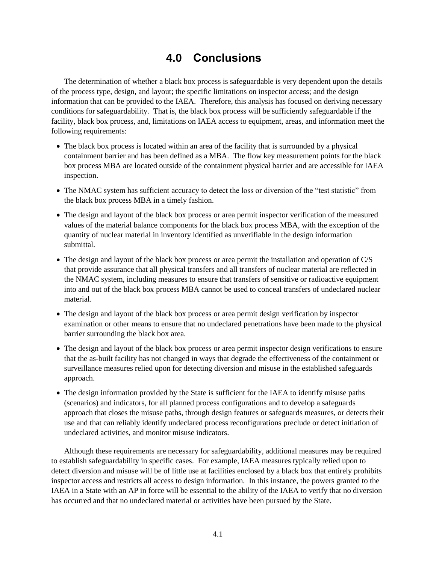## **4.0 Conclusions**

<span id="page-32-0"></span>The determination of whether a black box process is safeguardable is very dependent upon the details of the process type, design, and layout; the specific limitations on inspector access; and the design information that can be provided to the IAEA. Therefore, this analysis has focused on deriving necessary conditions for safeguardability. That is, the black box process will be sufficiently safeguardable if the facility, black box process, and, limitations on IAEA access to equipment, areas, and information meet the following requirements:

- The black box process is located within an area of the facility that is surrounded by a physical containment barrier and has been defined as a MBA. The flow key measurement points for the black box process MBA are located outside of the containment physical barrier and are accessible for IAEA inspection.
- The NMAC system has sufficient accuracy to detect the loss or diversion of the "test statistic" from the black box process MBA in a timely fashion.
- The design and layout of the black box process or area permit inspector verification of the measured values of the material balance components for the black box process MBA, with the exception of the quantity of nuclear material in inventory identified as unverifiable in the design information submittal.
- The design and layout of the black box process or area permit the installation and operation of C/S that provide assurance that all physical transfers and all transfers of nuclear material are reflected in the NMAC system, including measures to ensure that transfers of sensitive or radioactive equipment into and out of the black box process MBA cannot be used to conceal transfers of undeclared nuclear material.
- The design and layout of the black box process or area permit design verification by inspector examination or other means to ensure that no undeclared penetrations have been made to the physical barrier surrounding the black box area.
- The design and layout of the black box process or area permit inspector design verifications to ensure that the as-built facility has not changed in ways that degrade the effectiveness of the containment or surveillance measures relied upon for detecting diversion and misuse in the established safeguards approach.
- The design information provided by the State is sufficient for the IAEA to identify misuse paths (scenarios) and indicators, for all planned process configurations and to develop a safeguards approach that closes the misuse paths, through design features or safeguards measures, or detects their use and that can reliably identify undeclared process reconfigurations preclude or detect initiation of undeclared activities, and monitor misuse indicators.

Although these requirements are necessary for safeguardability, additional measures may be required to establish safeguardability in specific cases. For example, IAEA measures typically relied upon to detect diversion and misuse will be of little use at facilities enclosed by a black box that entirely prohibits inspector access and restricts all access to design information. In this instance, the powers granted to the IAEA in a State with an AP in force will be essential to the ability of the IAEA to verify that no diversion has occurred and that no undeclared material or activities have been pursued by the State.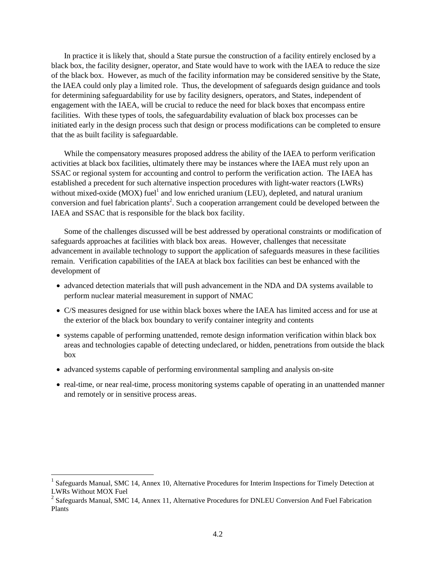In practice it is likely that, should a State pursue the construction of a facility entirely enclosed by a black box, the facility designer, operator, and State would have to work with the IAEA to reduce the size of the black box. However, as much of the facility information may be considered sensitive by the State, the IAEA could only play a limited role. Thus, the development of safeguards design guidance and tools for determining safeguardability for use by facility designers, operators, and States, independent of engagement with the IAEA, will be crucial to reduce the need for black boxes that encompass entire facilities. With these types of tools, the safeguardability evaluation of black box processes can be initiated early in the design process such that design or process modifications can be completed to ensure that the as built facility is safeguardable.

While the compensatory measures proposed address the ability of the IAEA to perform verification activities at black box facilities, ultimately there may be instances where the IAEA must rely upon an SSAC or regional system for accounting and control to perform the verification action. The IAEA has established a precedent for such alternative inspection procedures with light-water reactors (LWRs) without mixed-oxide (MOX) fuel<sup>1</sup> and low enriched uranium (LEU), depleted, and natural uranium conversion and fuel fabrication plants<sup>2</sup>. Such a cooperation arrangement could be developed between the IAEA and SSAC that is responsible for the black box facility.

Some of the challenges discussed will be best addressed by operational constraints or modification of safeguards approaches at facilities with black box areas. However, challenges that necessitate advancement in available technology to support the application of safeguards measures in these facilities remain. Verification capabilities of the IAEA at black box facilities can best be enhanced with the development of

- advanced detection materials that will push advancement in the NDA and DA systems available to perform nuclear material measurement in support of NMAC
- C/S measures designed for use within black boxes where the IAEA has limited access and for use at the exterior of the black box boundary to verify container integrity and contents
- systems capable of performing unattended, remote design information verification within black box areas and technologies capable of detecting undeclared, or hidden, penetrations from outside the black box
- advanced systems capable of performing environmental sampling and analysis on-site
- real-time, or near real-time, process monitoring systems capable of operating in an unattended manner and remotely or in sensitive process areas.

 $\overline{a}$ 

<sup>&</sup>lt;sup>1</sup> Safeguards Manual, SMC 14, Annex 10, Alternative Procedures for Interim Inspections for Timely Detection at LWRs Without MOX Fuel

 $2$  Safeguards Manual, SMC 14, Annex 11, Alternative Procedures for DNLEU Conversion And Fuel Fabrication Plants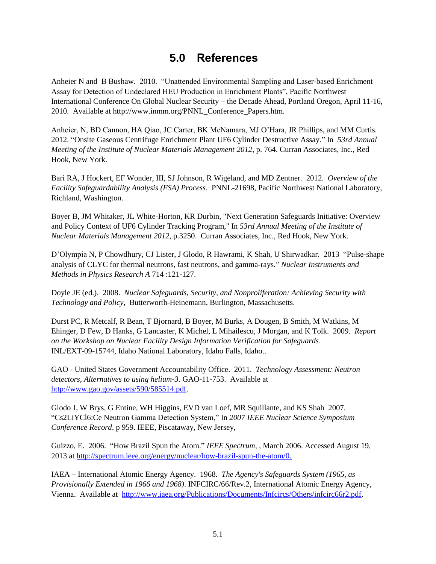## **5.0 References**

<span id="page-34-0"></span>Anheier N and B Bushaw. 2010. "Unattended Environmental Sampling and Laser-based Enrichment Assay for Detection of Undeclared HEU Production in Enrichment Plants", Pacific Northwest International Conference On Global Nuclear Security – the Decade Ahead, Portland Oregon, April 11-16, 2010. Available at http://www.inmm.org/PNNL\_Conference\_Papers.htm.

Anheier, N, BD Cannon, HA Qiao, JC Carter, BK McNamara, MJ O'Hara, JR Phillips, and MM Curtis. 2012. "Onsite Gaseous Centrifuge Enrichment Plant UF6 Cylinder Destructive Assay." In *53rd Annual Meeting of the Institute of Nuclear Materials Management 2012*, p. 764. Curran Associates, Inc., Red Hook, New York.

Bari RA, J Hockert, EF Wonder, III, SJ Johnson, R Wigeland, and MD Zentner. 2012. *Overview of the Facility Safeguardability Analysis (FSA) Process*. PNNL-21698, Pacific Northwest National Laboratory, Richland, Washington.

Boyer B, JM Whitaker, JL White-Horton, KR Durbin, "Next Generation Safeguards Initiative: Overview and Policy Context of UF6 Cylinder Tracking Program," In *53rd Annual Meeting of the Institute of Nuclear Materials Management 2012*, p.3250. Curran Associates, Inc., Red Hook, New York.

D'Olympia N, P Chowdhury, CJ Lister, J Glodo, R Hawrami, K Shah, U Shirwadkar. 2013 "Pulse-shape analysis of CLYC for thermal neutrons, fast neutrons, and gamma-rays." *Nuclear Instruments and Methods in Physics Research A* 714 :121-127.

Doyle JE (ed.). 2008. *Nuclear Safeguards, Security, and Nonproliferation: Achieving Security with Technology and Policy*, Butterworth-Heinemann, Burlington, Massachusetts.

Durst PC, R Metcalf, R Bean, T Bjornard, B Boyer, M Burks, A Dougen, B Smith, M Watkins, M Ehinger, D Few, D Hanks, G Lancaster, K Michel, L Mihailescu, J Morgan, and K Tolk. 2009. *Report on the Workshop on Nuclear Facility Design Information Verification for Safeguards*. INL/EXT-09-15744, Idaho National Laboratory, Idaho Falls, Idaho..

GAO - United States Government Accountability Office. 2011. *Technology Assessment: Neutron detectors, Alternatives to using helium-3.* GAO-11-753. Available at [http://www.gao.gov/assets/590/585514.pdf.](http://www.gao.gov/assets/590/585514.pdf)

Glodo J, W Brys, G Entine, WH Higgins, EVD van Loef, MR Squillante, and KS Shah 2007. "Cs2LiYCl6:Ce Neutron Gamma Detection System," In *2007 IEEE Nuclear Science Symposium Conference Record*. p 959. IEEE, Piscataway, New Jersey,

Guizzo, E. 2006. "How Brazil Spun the Atom." *IEEE Spectrum*, , March 2006. Accessed August 19, 2013 at [http://spectrum.ieee.org/energy/nuclear/how-brazil-spun-the-atom/0.](http://spectrum.ieee.org/energy/nuclear/how-brazil-spun-the-atom/0)

IAEA – International Atomic Energy Agency. 1968. *The Agency's Safeguards System (1965, as Provisionally Extended in 1966 and 1968)*. INFCIRC/66/Rev.2, International Atomic Energy Agency, Vienna. Available at [http://www.iaea.org/Publications/Documents/Infcircs/Others/infcirc66r2.pdf.](http://www.iaea.org/Publications/Documents/Infcircs/Others/infcirc66r2.pdf)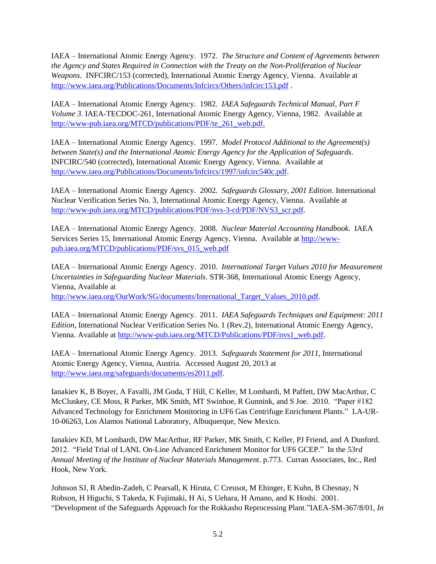IAEA – International Atomic Energy Agency. 1972. *The Structure and Content of Agreements between the Agency and States Required in Connection with the Treaty on the Non-Proliferation of Nuclear Weapons.* INFCIRC/153 (corrected), International Atomic Energy Agency, Vienna. Available at <http://www.iaea.org/Publications/Documents/Infcircs/Others/infcirc153.pdf>.

IAEA – International Atomic Energy Agency. 1982. *IAEA Safeguards Technical Manual*, *Part F Volume 3*. IAEA-TECDOC-261, International Atomic Energy Agency, Vienna, 1982. Available at [http://www-pub.iaea.org/MTCD/publications/PDF/te\\_261\\_web.pdf.](http://www-pub.iaea.org/MTCD/publications/PDF/te_261_web.pdf)

IAEA – International Atomic Energy Agency. 1997. *Model Protocol Additional to the Agreement(s) between State(s) and the International Atomic Energy Agency for the Application of Safeguards*. INFCIRC/540 (corrected), International Atomic Energy Agency, Vienna. Available at [http://www.iaea.org/Publications/Documents/Infcircs/1997/infcirc540c.pdf.](http://www.iaea.org/Publications/Documents/Infcircs/1997/infcirc540c.pdf)

IAEA – International Atomic Energy Agency. 2002. *Safeguards Glossary, 2001 Edition*. International Nuclear Verification Series No. 3, International Atomic Energy Agency, Vienna. Available at [http://www-pub.iaea.org/MTCD/publications/PDF/nvs-3-cd/PDF/NVS3\\_scr.pdf.](http://www-pub.iaea.org/MTCD/publications/PDF/nvs-3-cd/PDF/NVS3_scr.pdf)

IAEA – International Atomic Energy Agency. 2008. *Nuclear Material Accounting Handbook*. IAEA Services Series 15, International Atomic Energy Agency, Vienna. Available at [http://www](http://www-pub.iaea.org/MTCD/publications/PDF/svs_015_web.pdf)[pub.iaea.org/MTCD/publications/PDF/svs\\_015\\_web.pdf](http://www-pub.iaea.org/MTCD/publications/PDF/svs_015_web.pdf)

IAEA – International Atomic Energy Agency. 2010. *International Target Values 2010 for Measurement Uncertainties in Safeguarding Nuclear Materials*. STR-368, International Atomic Energy Agency, Vienna, Available at [http://www.iaea.org/OurWork/SG/documents/International\\_Target\\_Values\\_2010.pdf.](http://www.iaea.org/OurWork/SG/documents/International_Target_Values_2010.pdf)

IAEA – International Atomic Energy Agency. 2011. *IAEA Safeguards Techniques and Equipment: 2011 Edition*, International Nuclear Verification Series No. 1 (Rev.2), International Atomic Energy Agency, Vienna. Available at [http://www-pub.iaea.org/MTCD/Publications/PDF/nvs1\\_web.pdf.](http://www-pub.iaea.org/MTCD/Publications/PDF/nvs1_web.pdf)

IAEA – International Atomic Energy Agency. 2013. *Safeguards Statement for 2011*, International Atomic Energy Agency, Vienna, Austria. Accessed August 20, 2013 at [http://www.iaea.org/safeguards/documents/es2011.pdf.](http://www.iaea.org/safeguards/documents/es2011.pdf)

Ianakiev K, B Boyer, A Favalli, JM Goda, T Hill, C Keller, M Lombardi, M Paffett, DW MacArthur, C McCluskey, CE Moss, R Parker, MK Smith, MT Swinhoe, R Gunnink, and S Joe. 2010. "Paper #182 Advanced Technology for Enrichment Monitoring in UF6 Gas Centrifuge Enrichment Plants." LA-UR-10-06263, Los Alamos National Laboratory, Albuquerque, New Mexico.

Ianakiev KD, M Lombardi, DW MacArthur, RF Parker, MK Smith, C Keller, PJ Friend, and A Dunford. 2012. "Field Trial of LANL On-Line Advanced Enrichment Monitor for UF6 GCEP." In the *53rd Annual Meeting of the Institute of Nuclear Materials Management*. p.773. Curran Associates, Inc., Red Hook, New York.

Johnson SJ, R Abedin-Zadeh, C Pearsall, K Hiruta, C Creusot, M Ehinger, E Kuhn, B Chesnay, N Robson, H Higuchi, S Takeda, K Fujimaki, H Ai, S Uehara, H Amano, and K Hoshi. 2001. "Development of the Safeguards Approach for the Rokkasho Reprocessing Plant."IAEA-SM-367/8/01, *In*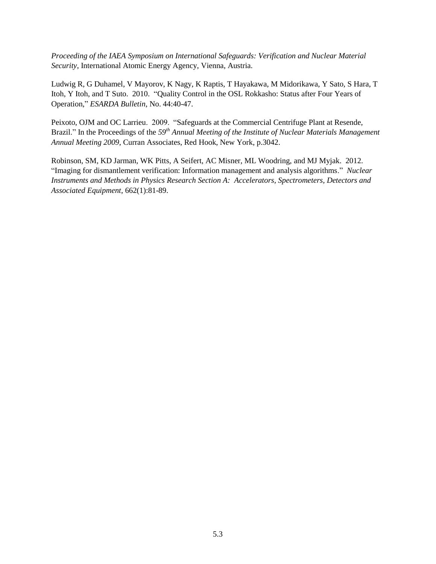*Proceeding of the IAEA Symposium on International Safeguards: Verification and Nuclear Material Security*, International Atomic Energy Agency, Vienna, Austria.

Ludwig R, G Duhamel, V Mayorov, K Nagy, K Raptis, T Hayakawa, M Midorikawa, Y Sato, S Hara, T Itoh, Y Itoh, and T Suto. 2010. "Quality Control in the OSL Rokkasho: Status after Four Years of Operation," *ESARDA Bulletin*, No. 44:40-47.

Peixoto, OJM and OC Larrieu. 2009. "Safeguards at the Commercial Centrifuge Plant at Resende, Brazil." In the Proceedings of the *59th Annual Meeting of the Institute of Nuclear Materials Management Annual Meeting 2009*, Curran Associates, Red Hook, New York, p.3042.

Robinson, SM, KD Jarman, WK Pitts, A Seifert, AC Misner, ML Woodring, and MJ Myjak. 2012. "Imaging for dismantlement verification: Information management and analysis algorithms." *Nuclear Instruments and Methods in Physics Research Section A: Accelerators, Spectrometers, Detectors and Associated Equipment*, 662(1):81-89.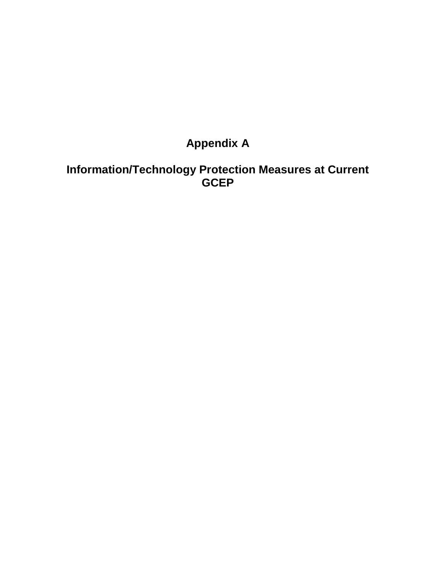## **Appendix A**

## <span id="page-37-0"></span>**Information/Technology Protection Measures at Current GCEP**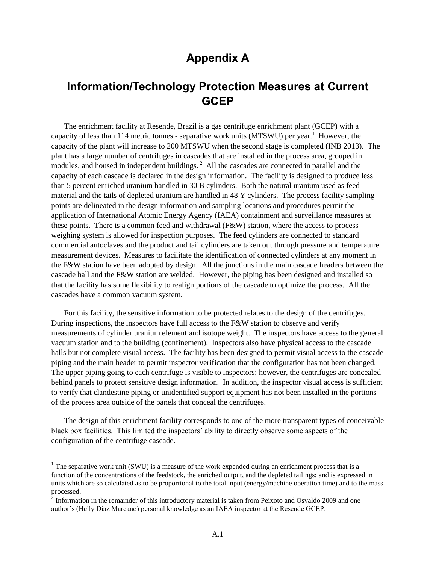## **Appendix A**

## **Information/Technology Protection Measures at Current GCEP**

The enrichment facility at Resende, Brazil is a gas centrifuge enrichment plant (GCEP) with a capacity of less than 114 metric tonnes - separative work units (MTSWU) per year.<sup>1</sup> However, the capacity of the plant will increase to 200 MTSWU when the second stage is completed (INB 2013). The plant has a large number of centrifuges in cascades that are installed in the process area, grouped in modules, and housed in independent buildings.<sup>2</sup> All the cascades are connected in parallel and the capacity of each cascade is declared in the design information. The facility is designed to produce less than 5 percent enriched uranium handled in 30 B cylinders. Both the natural uranium used as feed material and the tails of depleted uranium are handled in 48 Y cylinders. The process facility sampling points are delineated in the design information and sampling locations and procedures permit the application of International Atomic Energy Agency (IAEA) containment and surveillance measures at these points. There is a common feed and withdrawal (F&W) station, where the access to process weighing system is allowed for inspection purposes. The feed cylinders are connected to standard commercial autoclaves and the product and tail cylinders are taken out through pressure and temperature measurement devices. Measures to facilitate the identification of connected cylinders at any moment in the F&W station have been adopted by design. All the junctions in the main cascade headers between the cascade hall and the F&W station are welded. However, the piping has been designed and installed so that the facility has some flexibility to realign portions of the cascade to optimize the process. All the cascades have a common vacuum system.

For this facility, the sensitive information to be protected relates to the design of the centrifuges. During inspections, the inspectors have full access to the F&W station to observe and verify measurements of cylinder uranium element and isotope weight. The inspectors have access to the general vacuum station and to the building (confinement). Inspectors also have physical access to the cascade halls but not complete visual access. The facility has been designed to permit visual access to the cascade piping and the main header to permit inspector verification that the configuration has not been changed. The upper piping going to each centrifuge is visible to inspectors; however, the centrifuges are concealed behind panels to protect sensitive design information. In addition, the inspector visual access is sufficient to verify that clandestine piping or unidentified support equipment has not been installed in the portions of the process area outside of the panels that conceal the centrifuges.

The design of this enrichment facility corresponds to one of the more transparent types of conceivable black box facilities. This limited the inspectors' ability to directly observe some aspects of the configuration of the centrifuge cascade.

l

<sup>&</sup>lt;sup>1</sup> The separative work unit (SWU) is a measure of the work expended during an enrichment process that is a function of the concentrations of the feedstock, the enriched output, and the depleted tailings; and is expressed in units which are so calculated as to be proportional to the total input (energy/machine operation time) and to the mass processed.<br><sup>2</sup> Information in the remainder of this introductory material is taken from Peixoto and Osvaldo 2009 and one

author's (Helly Diaz Marcano) personal knowledge as an IAEA inspector at the Resende GCEP.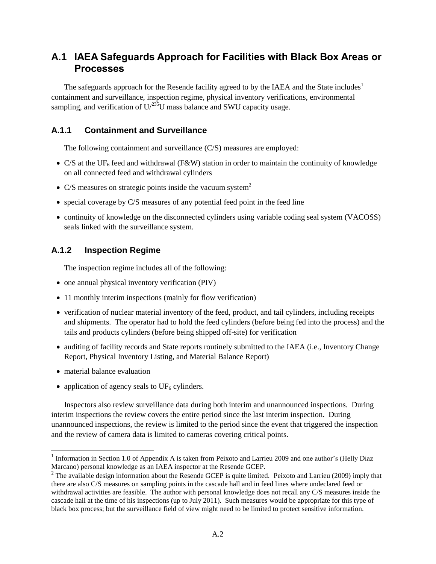### **A.1 IAEA Safeguards Approach for Facilities with Black Box Areas or Processes**

The safeguards approach for the Resende facility agreed to by the IAEA and the State includes<sup>1</sup> containment and surveillance, inspection regime, physical inventory verifications, environmental sampling, and verification of  $U^{235}U$  mass balance and SWU capacity usage.

#### **A.1.1 Containment and Surveillance**

The following containment and surveillance (C/S) measures are employed:

- $\bullet$  C/S at the UF<sub>6</sub> feed and withdrawal (F&W) station in order to maintain the continuity of knowledge on all connected feed and withdrawal cylinders
- C/S measures on strategic points inside the vacuum system<sup>2</sup>
- special coverage by C/S measures of any potential feed point in the feed line
- continuity of knowledge on the disconnected cylinders using variable coding seal system (VACOSS) seals linked with the surveillance system.

#### **A.1.2 Inspection Regime**

The inspection regime includes all of the following:

- one annual physical inventory verification (PIV)
- 11 monthly interim inspections (mainly for flow verification)
- verification of nuclear material inventory of the feed, product, and tail cylinders, including receipts and shipments. The operator had to hold the feed cylinders (before being fed into the process) and the tails and products cylinders (before being shipped off-site) for verification
- auditing of facility records and State reports routinely submitted to the IAEA (i.e., Inventory Change Report, Physical Inventory Listing, and Material Balance Report)
- material balance evaluation

l

• application of agency seals to  $UF_6$  cylinders.

Inspectors also review surveillance data during both interim and unannounced inspections. During interim inspections the review covers the entire period since the last interim inspection. During unannounced inspections, the review is limited to the period since the event that triggered the inspection and the review of camera data is limited to cameras covering critical points.

<sup>&</sup>lt;sup>1</sup> Information in Section 1.0 of Appendix A is taken from Peixoto and Larrieu 2009 and one author's (Helly Diaz Marcano) personal knowledge as an IAEA inspector at the Resende GCEP.

 $2^2$  The available design information about the Resende GCEP is quite limited. Peixoto and Larrieu (2009) imply that there are also C/S measures on sampling points in the cascade hall and in feed lines where undeclared feed or withdrawal activities are feasible. The author with personal knowledge does not recall any C/S measures inside the cascade hall at the time of his inspections (up to July 2011). Such measures would be appropriate for this type of black box process; but the surveillance field of view might need to be limited to protect sensitive information.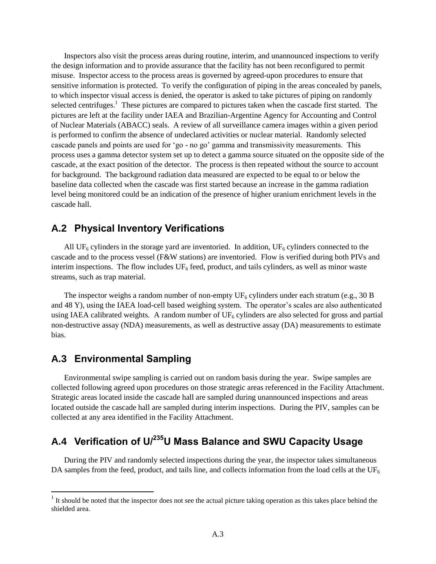Inspectors also visit the process areas during routine, interim, and unannounced inspections to verify the design information and to provide assurance that the facility has not been reconfigured to permit misuse. Inspector access to the process areas is governed by agreed-upon procedures to ensure that sensitive information is protected. To verify the configuration of piping in the areas concealed by panels, to which inspector visual access is denied, the operator is asked to take pictures of piping on randomly selected centrifuges.<sup>1</sup> These pictures are compared to pictures taken when the cascade first started. The pictures are left at the facility under IAEA and Brazilian-Argentine Agency for Accounting and Control of Nuclear Materials (ABACC) seals. A review of all surveillance camera images within a given period is performed to confirm the absence of undeclared activities or nuclear material. Randomly selected cascade panels and points are used for 'go - no go' gamma and transmissivity measurements. This process uses a gamma detector system set up to detect a gamma source situated on the opposite side of the cascade, at the exact position of the detector. The process is then repeated without the source to account for background. The background radiation data measured are expected to be equal to or below the baseline data collected when the cascade was first started because an increase in the gamma radiation level being monitored could be an indication of the presence of higher uranium enrichment levels in the cascade hall.

#### **A.2 Physical Inventory Verifications**

All UF<sub>6</sub> cylinders in the storage yard are inventoried. In addition, UF<sub>6</sub> cylinders connected to the cascade and to the process vessel (F&W stations) are inventoried. Flow is verified during both PIVs and interim inspections. The flow includes  $UF_6$  feed, product, and tails cylinders, as well as minor waste streams, such as trap material.

The inspector weighs a random number of non-empty  $UF_6$  cylinders under each stratum (e.g., 30 B and 48 Y), using the IAEA load-cell based weighing system. The operator's scales are also authenticated using IAEA calibrated weights. A random number of  $UF<sub>6</sub>$  cylinders are also selected for gross and partial non-destructive assay (NDA) measurements, as well as destructive assay (DA) measurements to estimate bias.

### **A.3 Environmental Sampling**

l

Environmental swipe sampling is carried out on random basis during the year. Swipe samples are collected following agreed upon procedures on those strategic areas referenced in the Facility Attachment. Strategic areas located inside the cascade hall are sampled during unannounced inspections and areas located outside the cascade hall are sampled during interim inspections. During the PIV, samples can be collected at any area identified in the Facility Attachment.

## **A.4 Verification of U/<sup>235</sup>U Mass Balance and SWU Capacity Usage**

During the PIV and randomly selected inspections during the year, the inspector takes simultaneous DA samples from the feed, product, and tails line, and collects information from the load cells at the  $UF_6$ 

 $<sup>1</sup>$  It should be noted that the inspector does not see the actual picture taking operation as this takes place behind the</sup> shielded area.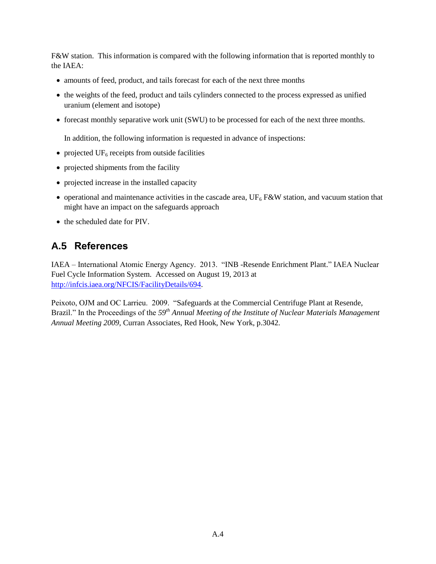F&W station. This information is compared with the following information that is reported monthly to the IAEA:

- amounts of feed, product, and tails forecast for each of the next three months
- the weights of the feed, product and tails cylinders connected to the process expressed as unified uranium (element and isotope)
- forecast monthly separative work unit (SWU) to be processed for each of the next three months.

In addition, the following information is requested in advance of inspections:

- projected  $UF<sub>6</sub>$  receipts from outside facilities
- projected shipments from the facility
- projected increase in the installed capacity
- operational and maintenance activities in the cascade area,  $UF<sub>6</sub> F&W$  station, and vacuum station that might have an impact on the safeguards approach
- the scheduled date for PIV.

## **A.5 References**

IAEA – International Atomic Energy Agency. 2013. "INB -Resende Enrichment Plant." IAEA Nuclear Fuel Cycle Information System. Accessed on August 19, 2013 at [http://infcis.iaea.org/NFCIS/FacilityDetails/694.](http://infcis.iaea.org/NFCIS/FacilityDetails/694)

Peixoto, OJM and OC Larrieu. 2009. "Safeguards at the Commercial Centrifuge Plant at Resende, Brazil." In the Proceedings of the *59th Annual Meeting of the Institute of Nuclear Materials Management Annual Meeting 2009*, Curran Associates, Red Hook, New York, p.3042.